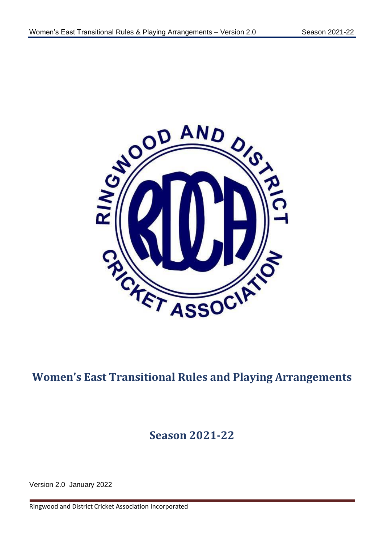

# **Women's East Transitional Rules and Playing Arrangements**

# **Season 2021-22**

Version 2.0 January 2022

Ringwood and District Cricket Association Incorporated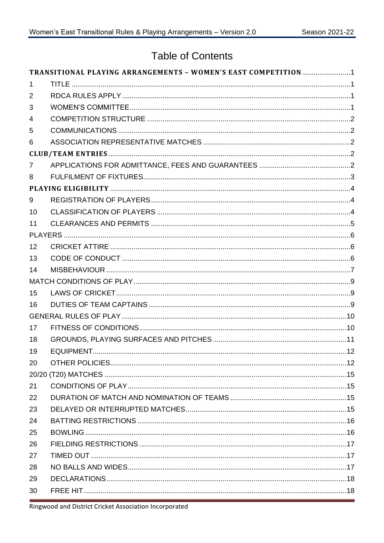# **Table of Contents**

|                | TRANSITIONAL PLAYING ARRANGEMENTS - WOMEN'S EAST COMPETITION1 |  |
|----------------|---------------------------------------------------------------|--|
| 1              |                                                               |  |
| 2              |                                                               |  |
| 3              |                                                               |  |
| $\overline{4}$ |                                                               |  |
| 5              |                                                               |  |
| 6              |                                                               |  |
|                |                                                               |  |
| 7              |                                                               |  |
| 8              |                                                               |  |
|                |                                                               |  |
| 9              |                                                               |  |
| 10             |                                                               |  |
| 11             |                                                               |  |
|                |                                                               |  |
| 12             |                                                               |  |
| 13             |                                                               |  |
| 14             |                                                               |  |
|                |                                                               |  |
| 15             |                                                               |  |
| 16             |                                                               |  |
|                |                                                               |  |
| 17             |                                                               |  |
| 18             |                                                               |  |
| 19             |                                                               |  |
| 20             |                                                               |  |
|                |                                                               |  |
| 21             |                                                               |  |
| 22             |                                                               |  |
| 23             |                                                               |  |
| 24             |                                                               |  |
| 25             |                                                               |  |
| 26             |                                                               |  |
| 27             |                                                               |  |
| 28             |                                                               |  |
| 29             |                                                               |  |
| 30             |                                                               |  |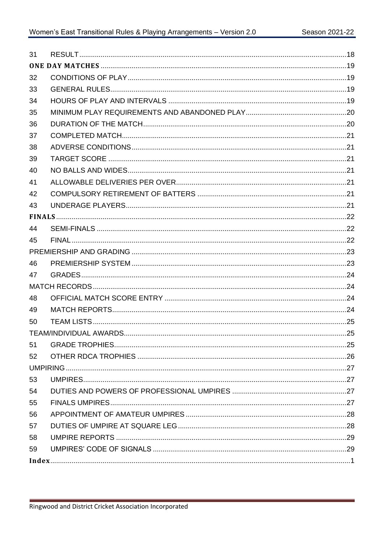| 31 |  |
|----|--|
|    |  |
| 32 |  |
| 33 |  |
| 34 |  |
| 35 |  |
| 36 |  |
| 37 |  |
| 38 |  |
| 39 |  |
| 40 |  |
| 41 |  |
| 42 |  |
| 43 |  |
|    |  |
| 44 |  |
| 45 |  |
|    |  |
| 46 |  |
| 47 |  |
|    |  |
| 48 |  |
| 49 |  |
| 50 |  |
|    |  |
| 51 |  |
| 52 |  |
|    |  |
| 53 |  |
| 54 |  |
| 55 |  |
| 56 |  |
| 57 |  |
| 58 |  |
| 59 |  |
|    |  |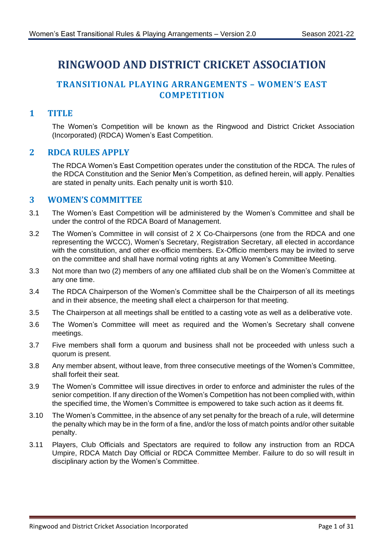# **RINGWOOD AND DISTRICT CRICKET ASSOCIATION**

# <span id="page-3-0"></span>**TRANSITIONAL PLAYING ARRANGEMENTS – WOMEN'S EAST COMPETITION**

#### <span id="page-3-1"></span>**1 TITLE**

The Women's Competition will be known as the Ringwood and District Cricket Association (Incorporated) (RDCA) Women's East Competition.

#### <span id="page-3-2"></span>**2 RDCA RULES APPLY**

The RDCA Women's East Competition operates under the constitution of the RDCA. The rules of the RDCA Constitution and the Senior Men's Competition, as defined herein, will apply. Penalties are stated in penalty units. Each penalty unit is worth \$10.

#### <span id="page-3-3"></span>**3 WOMEN'S COMMITTEE**

- 3.1 The Women's East Competition will be administered by the Women's Committee and shall be under the control of the RDCA Board of Management.
- 3.2 The Women's Committee in will consist of 2 X Co-Chairpersons (one from the RDCA and one representing the WCCC), Women's Secretary, Registration Secretary, all elected in accordance with the constitution, and other ex-officio members. Ex-Officio members may be invited to serve on the committee and shall have normal voting rights at any Women's Committee Meeting.
- 3.3 Not more than two (2) members of any one affiliated club shall be on the Women's Committee at any one time.
- 3.4 The RDCA Chairperson of the Women's Committee shall be the Chairperson of all its meetings and in their absence, the meeting shall elect a chairperson for that meeting.
- 3.5 The Chairperson at all meetings shall be entitled to a casting vote as well as a deliberative vote.
- 3.6 The Women's Committee will meet as required and the Women's Secretary shall convene meetings.
- 3.7 Five members shall form a quorum and business shall not be proceeded with unless such a quorum is present.
- 3.8 Any member absent, without leave, from three consecutive meetings of the Women's Committee, shall forfeit their seat.
- 3.9 The Women's Committee will issue directives in order to enforce and administer the rules of the senior competition. If any direction of the Women's Competition has not been complied with, within the specified time, the Women's Committee is empowered to take such action as it deems fit.
- 3.10 The Women's Committee, in the absence of any set penalty for the breach of a rule, will determine the penalty which may be in the form of a fine, and/or the loss of match points and/or other suitable penalty.
- 3.11 Players, Club Officials and Spectators are required to follow any instruction from an RDCA Umpire, RDCA Match Day Official or RDCA Committee Member. Failure to do so will result in disciplinary action by the Women's Committee.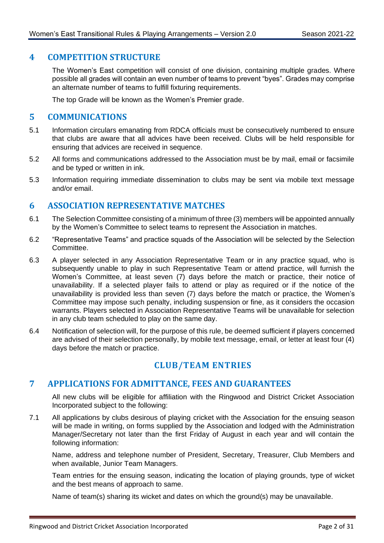#### <span id="page-4-0"></span>**4 COMPETITION STRUCTURE**

The Women's East competition will consist of one division, containing multiple grades. Where possible all grades will contain an even number of teams to prevent "byes". Grades may comprise an alternate number of teams to fulfill fixturing requirements.

The top Grade will be known as the Women's Premier grade.

#### <span id="page-4-1"></span>**5 COMMUNICATIONS**

- 5.1 Information circulars emanating from RDCA officials must be consecutively numbered to ensure that clubs are aware that all advices have been received. Clubs will be held responsible for ensuring that advices are received in sequence.
- 5.2 All forms and communications addressed to the Association must be by mail, email or facsimile and be typed or written in ink.
- 5.3 Information requiring immediate dissemination to clubs may be sent via mobile text message and/or email.

#### <span id="page-4-2"></span>**6 ASSOCIATION REPRESENTATIVE MATCHES**

- 6.1 The Selection Committee consisting of a minimum of three (3) members will be appointed annually by the Women's Committee to select teams to represent the Association in matches.
- 6.2 "Representative Teams" and practice squads of the Association will be selected by the Selection Committee.
- <span id="page-4-5"></span>6.3 A player selected in any Association Representative Team or in any practice squad, who is subsequently unable to play in such Representative Team or attend practice, will furnish the Women's Committee, at least seven (7) days before the match or practice, their notice of unavailability. If a selected player fails to attend or play as required or if the notice of the unavailability is provided less than seven (7) days before the match or practice, the Women's Committee may impose such penalty, including suspension or fine, as it considers the occasion warrants. Players selected in Association Representative Teams will be unavailable for selection in any club team scheduled to play on the same day.
- 6.4 Notification of selection will, for the purpose of this rule, be deemed sufficient if players concerned are advised of their selection personally, by mobile text message, email, or letter at least four (4) days before the match or practice.

# **CLUB/TEAM ENTRIES**

#### <span id="page-4-4"></span><span id="page-4-3"></span>**7 APPLICATIONS FOR ADMITTANCE, FEES AND GUARANTEES**

All new clubs will be eligible for affiliation with the Ringwood and District Cricket Association Incorporated subject to the following:

7.1 All applications by clubs desirous of playing cricket with the Association for the ensuing season will be made in writing, on forms supplied by the Association and lodged with the Administration Manager/Secretary not later than the first Friday of August in each year and will contain the following information:

Name, address and telephone number of President, Secretary, Treasurer, Club Members and when available, Junior Team Managers.

Team entries for the ensuing season, indicating the location of playing grounds, type of wicket and the best means of approach to same.

Name of team(s) sharing its wicket and dates on which the ground(s) may be unavailable.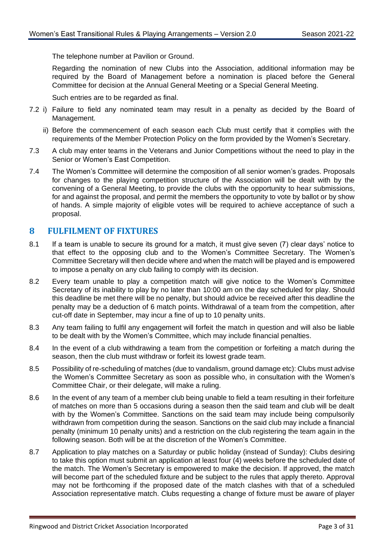The telephone number at Pavilion or Ground.

Regarding the nomination of new Clubs into the Association, additional information may be required by the Board of Management before a nomination is placed before the General Committee for decision at the Annual General Meeting or a Special General Meeting.

Such entries are to be regarded as final.

- 7.2 i) Failure to field any nominated team may result in a penalty as decided by the Board of Management.
	- ii) Before the commencement of each season each Club must certify that it complies with the requirements of the Member Protection Policy on the form provided by the Women's Secretary.
- 7.3 A club may enter teams in the Veterans and Junior Competitions without the need to play in the Senior or Women's East Competition.
- 7.4 The Women's Committee will determine the composition of all senior women's grades. Proposals for changes to the playing competition structure of the Association will be dealt with by the convening of a General Meeting, to provide the clubs with the opportunity to hear submissions, for and against the proposal, and permit the members the opportunity to vote by ballot or by show of hands. A simple majority of eligible votes will be required to achieve acceptance of such a proposal.

#### <span id="page-5-0"></span>**8 FULFILMENT OF FIXTURES**

- 8.1 If a team is unable to secure its ground for a match, it must give seven (7) clear days' notice to that effect to the opposing club and to the Women's Committee Secretary. The Women's Committee Secretary will then decide where and when the match will be played and is empowered to impose a penalty on any club failing to comply with its decision.
- 8.2 Every team unable to play a competition match will give notice to the Women's Committee Secretary of its inability to play by no later than 10:00 am on the day scheduled for play. Should this deadline be met there will be no penalty, but should advice be received after this deadline the penalty may be a deduction of 6 match points. Withdrawal of a team from the competition, after cut-off date in September, may incur a fine of up to 10 penalty units.
- 8.3 Any team failing to fulfil any engagement will forfeit the match in question and will also be liable to be dealt with by the Women's Committee, which may include financial penalties.
- 8.4 In the event of a club withdrawing a team from the competition or forfeiting a match during the season, then the club must withdraw or forfeit its lowest grade team.
- 8.5 Possibility of re-scheduling of matches (due to vandalism, ground damage etc): Clubs must advise the Women's Committee Secretary as soon as possible who, in consultation with the Women's Committee Chair, or their delegate, will make a ruling.
- 8.6 In the event of any team of a member club being unable to field a team resulting in their forfeiture of matches on more than 5 occasions during a season then the said team and club will be dealt with by the Women's Committee. Sanctions on the said team may include being compulsorily withdrawn from competition during the season. Sanctions on the said club may include a financial penalty (minimum 10 penalty units) and a restriction on the club registering the team again in the following season. Both will be at the discretion of the Women's Committee.
- 8.7 Application to play matches on a Saturday or public holiday (instead of Sunday): Clubs desiring to take this option must submit an application at least four (4) weeks before the scheduled date of the match. The Women's Secretary is empowered to make the decision. If approved, the match will become part of the scheduled fixture and be subject to the rules that apply thereto. Approval may not be forthcoming if the proposed date of the match clashes with that of a scheduled Association representative match. Clubs requesting a change of fixture must be aware of player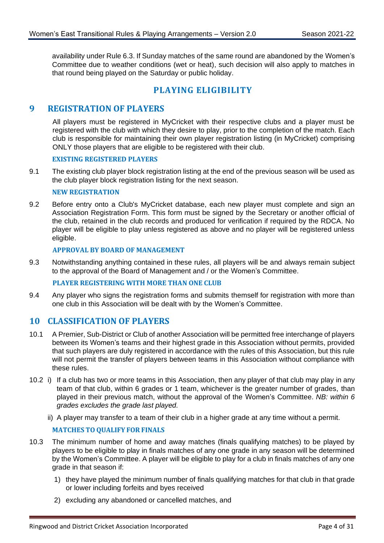availability under Rule [6.3.](#page-4-5) If Sunday matches of the same round are abandoned by the Women's Committee due to weather conditions (wet or heat), such decision will also apply to matches in that round being played on the Saturday or public holiday.

# **PLAYING ELIGIBILITY**

#### <span id="page-6-1"></span><span id="page-6-0"></span>**9 REGISTRATION OF PLAYERS**

All players must be registered in MyCricket with their respective clubs and a player must be registered with the club with which they desire to play, prior to the completion of the match. Each club is responsible for maintaining their own player registration listing (in MyCricket) comprising ONLY those players that are eligible to be registered with their club.

#### **EXISTING REGISTERED PLAYERS**

9.1 The existing club player block registration listing at the end of the previous season will be used as the club player block registration listing for the next season.

#### **NEW REGISTRATION**

9.2 Before entry onto a Club's MyCricket database, each new player must complete and sign an Association Registration Form. This form must be signed by the Secretary or another official of the club, retained in the club records and produced for verification if required by the RDCA. No player will be eligible to play unless registered as above and no player will be registered unless eligible.

#### **APPROVAL BY BOARD OF MANAGEMENT**

9.3 Notwithstanding anything contained in these rules, all players will be and always remain subject to the approval of the Board of Management and / or the Women's Committee.

#### **PLAYER REGISTERING WITH MORE THAN ONE CLUB**

9.4 Any player who signs the registration forms and submits themself for registration with more than one club in this Association will be dealt with by the Women's Committee.

#### <span id="page-6-2"></span>**10 CLASSIFICATION OF PLAYERS**

- 10.1 A Premier, Sub-District or Club of another Association will be permitted free interchange of players between its Women's teams and their highest grade in this Association without permits, provided that such players are duly registered in accordance with the rules of this Association, but this rule will not permit the transfer of players between teams in this Association without compliance with these rules.
- <span id="page-6-3"></span>10.2 i) If a club has two or more teams in this Association, then any player of that club may play in any team of that club, within 6 grades or 1 team, whichever is the greater number of grades, than played in their previous match, without the approval of the Women's Committee. *NB: within 6 grades excludes the grade last played.*
	- ii) A player may transfer to a team of their club in a higher grade at any time without a permit.

#### **MATCHES TO QUALIFY FOR FINALS**

- 10.3 The minimum number of home and away matches (finals qualifying matches) to be played by players to be eligible to play in finals matches of any one grade in any season will be determined by the Women's Committee. A player will be eligible to play for a club in finals matches of any one grade in that season if:
	- 1) they have played the minimum number of finals qualifying matches for that club in that grade or lower including forfeits and byes received
	- 2) excluding any abandoned or cancelled matches, and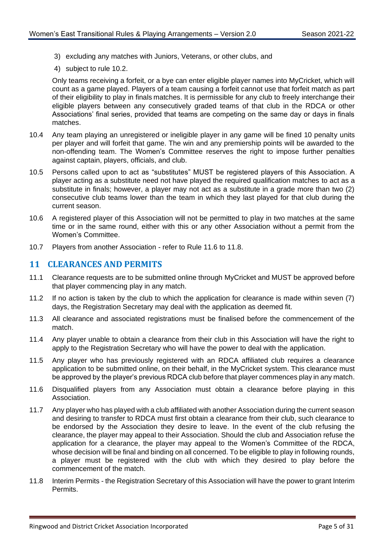- 3) excluding any matches with Juniors, Veterans, or other clubs, and
- 4) subject to rule [10.2.](#page-6-3)

Only teams receiving a forfeit, or a bye can enter eligible player names into MyCricket, which will count as a game played. Players of a team causing a forfeit cannot use that forfeit match as part of their eligibility to play in finals matches. It is permissible for any club to freely interchange their eligible players between any consecutively graded teams of that club in the RDCA or other Associations' final series, provided that teams are competing on the same day or days in finals matches.

- 10.4 Any team playing an unregistered or ineligible player in any game will be fined 10 penalty units per player and will forfeit that game. The win and any premiership points will be awarded to the non-offending team. The Women's Committee reserves the right to impose further penalties against captain, players, officials, and club.
- 10.5 Persons called upon to act as "substitutes" MUST be registered players of this Association. A player acting as a substitute need not have played the required qualification matches to act as a substitute in finals; however, a player may not act as a substitute in a grade more than two (2) consecutive club teams lower than the team in which they last played for that club during the current season.
- 10.6 A registered player of this Association will not be permitted to play in two matches at the same time or in the same round, either with this or any other Association without a permit from the Women's Committee.
- 10.7 Players from another Association refer to Rule [11.6](#page-7-1) to [11.8.](#page-7-2)

#### <span id="page-7-0"></span>**11 CLEARANCES AND PERMITS**

- 11.1 Clearance requests are to be submitted online through MyCricket and MUST be approved before that player commencing play in any match.
- 11.2 If no action is taken by the club to which the application for clearance is made within seven (7) days, the Registration Secretary may deal with the application as deemed fit.
- 11.3 All clearance and associated registrations must be finalised before the commencement of the match.
- 11.4 Any player unable to obtain a clearance from their club in this Association will have the right to apply to the Registration Secretary who will have the power to deal with the application.
- 11.5 Any player who has previously registered with an RDCA affiliated club requires a clearance application to be submitted online, on their behalf, in the MyCricket system. This clearance must be approved by the player's previous RDCA club before that player commences play in any match.
- <span id="page-7-1"></span>11.6 Disqualified players from any Association must obtain a clearance before playing in this Association.
- 11.7 Any player who has played with a club affiliated with another Association during the current season and desiring to transfer to RDCA must first obtain a clearance from their club, such clearance to be endorsed by the Association they desire to leave. In the event of the club refusing the clearance, the player may appeal to their Association. Should the club and Association refuse the application for a clearance, the player may appeal to the Women's Committee of the RDCA, whose decision will be final and binding on all concerned. To be eligible to play in following rounds, a player must be registered with the club with which they desired to play before the commencement of the match.
- <span id="page-7-2"></span>11.8 Interim Permits - the Registration Secretary of this Association will have the power to grant Interim Permits.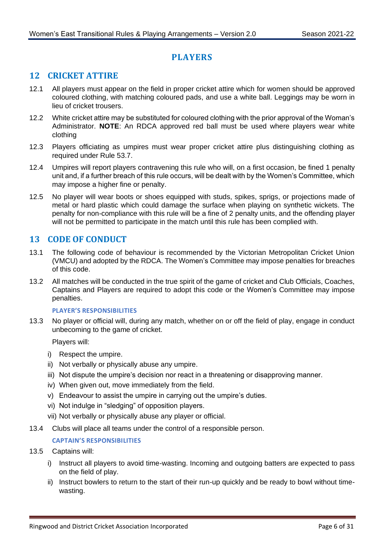# **PLAYERS**

# <span id="page-8-1"></span><span id="page-8-0"></span>**12 CRICKET ATTIRE**

- 12.1 All players must appear on the field in proper cricket attire which for women should be approved coloured clothing, with matching coloured pads, and use a white ball. Leggings may be worn in lieu of cricket trousers.
- 12.2 White cricket attire may be substituted for coloured clothing with the prior approval of the Woman's Administrator. **NOTE**: An RDCA approved red ball must be used where players wear white clothing
- 12.3 Players officiating as umpires must wear proper cricket attire plus distinguishing clothing as required under Rule [53.7.](#page-29-4)
- 12.4 Umpires will report players contravening this rule who will, on a first occasion, be fined 1 penalty unit and, if a further breach of this rule occurs, will be dealt with by the Women's Committee, which may impose a higher fine or penalty.
- 12.5 No player will wear boots or shoes equipped with studs, spikes, sprigs, or projections made of metal or hard plastic which could damage the surface when playing on synthetic wickets. The penalty for non-compliance with this rule will be a fine of 2 penalty units, and the offending player will not be permitted to participate in the match until this rule has been complied with.

# <span id="page-8-2"></span>**13 CODE OF CONDUCT**

- 13.1 The following code of behaviour is recommended by the Victorian Metropolitan Cricket Union (VMCU) and adopted by the RDCA. The Women's Committee may impose penalties for breaches of this code.
- 13.2 All matches will be conducted in the true spirit of the game of cricket and Club Officials, Coaches, Captains and Players are required to adopt this code or the Women's Committee may impose penalties.

#### **PLAYER'S RESPONSIBILITIES**

13.3 No player or official will, during any match, whether on or off the field of play, engage in conduct unbecoming to the game of cricket.

Players will:

- i) Respect the umpire.
- ii) Not verbally or physically abuse any umpire.
- iii) Not dispute the umpire's decision nor react in a threatening or disapproving manner.
- iv) When given out, move immediately from the field.
- v) Endeavour to assist the umpire in carrying out the umpire's duties.
- vi) Not indulge in "sledging" of opposition players.
- vii) Not verbally or physically abuse any player or official.
- 13.4 Clubs will place all teams under the control of a responsible person.

#### **CAPTAIN'S RESPONSIBILITIES**

#### 13.5 Captains will:

- i) Instruct all players to avoid time-wasting. Incoming and outgoing batters are expected to pass on the field of play.
- ii) Instruct bowlers to return to the start of their run-up quickly and be ready to bowl without timewasting.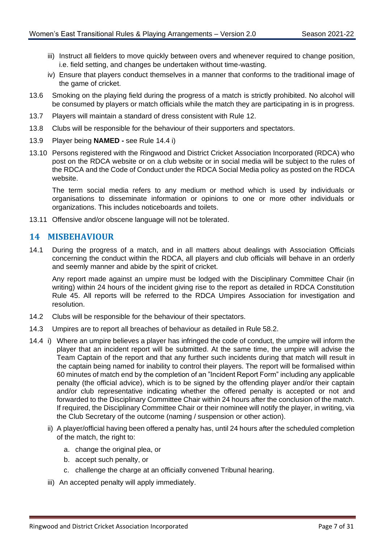- iii) Instruct all fielders to move quickly between overs and whenever required to change position, i.e. field setting, and changes be undertaken without time-wasting.
- iv) Ensure that players conduct themselves in a manner that conforms to the traditional image of the game of cricket.
- 13.6 Smoking on the playing field during the progress of a match is strictly prohibited. No alcohol will be consumed by players or match officials while the match they are participating in is in progress.
- 13.7 Players will maintain a standard of dress consistent with Rule [12.](#page-8-1)
- 13.8 Clubs will be responsible for the behaviour of their supporters and spectators.
- 13.9 Player being **NAMED -** see Rule [14.4](#page-9-1) i)
- 13.10 Persons registered with the Ringwood and District Cricket Association Incorporated (RDCA) who post on the RDCA website or on a club website or in social media will be subject to the rules of the RDCA and the Code of Conduct under the RDCA Social Media policy as posted on the RDCA website.

The term social media refers to any medium or method which is used by individuals or organisations to disseminate information or opinions to one or more other individuals or organizations. This includes noticeboards and toilets.

13.11 Offensive and/or obscene language will not be tolerated.

#### <span id="page-9-0"></span>**14 MISBEHAVIOUR**

14.1 During the progress of a match, and in all matters about dealings with Association Officials concerning the conduct within the RDCA, all players and club officials will behave in an orderly and seemly manner and abide by the spirit of cricket.

Any report made against an umpire must be lodged with the Disciplinary Committee Chair (in writing) within 24 hours of the incident giving rise to the report as detailed in RDCA Constitution Rule 45. All reports will be referred to the RDCA Umpires Association for investigation and resolution.

- 14.2 Clubs will be responsible for the behaviour of their spectators.
- 14.3 Umpires are to report all breaches of behaviour as detailed in Rule [58.2.](#page-31-2)
- <span id="page-9-1"></span>14.4 i) Where an umpire believes a player has infringed the code of conduct, the umpire will inform the player that an incident report will be submitted. At the same time, the umpire will advise the Team Captain of the report and that any further such incidents during that match will result in the captain being named for inability to control their players. The report will be formalised within 60 minutes of match end by the completion of an "Incident Report Form" including any applicable penalty (the official advice), which is to be signed by the offending player and/or their captain and/or club representative indicating whether the offered penalty is accepted or not and forwarded to the Disciplinary Committee Chair within 24 hours after the conclusion of the match. If required, the Disciplinary Committee Chair or their nominee will notify the player, in writing, via the Club Secretary of the outcome (naming / suspension or other action).
	- ii) A player/official having been offered a penalty has, until 24 hours after the scheduled completion of the match, the right to:
		- a. change the original plea, or
		- b. accept such penalty, or
		- c. challenge the charge at an officially convened Tribunal hearing.
	- iii) An accepted penalty will apply immediately.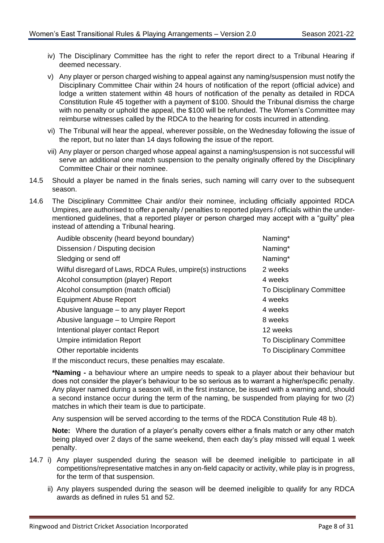- iv) The Disciplinary Committee has the right to refer the report direct to a Tribunal Hearing if deemed necessary.
- v) Any player or person charged wishing to appeal against any naming/suspension must notify the Disciplinary Committee Chair within 24 hours of notification of the report (official advice) and lodge a written statement within 48 hours of notification of the penalty as detailed in RDCA Constitution Rule 45 together with a payment of \$100. Should the Tribunal dismiss the charge with no penalty or uphold the appeal, the \$100 will be refunded. The Women's Committee may reimburse witnesses called by the RDCA to the hearing for costs incurred in attending.
- vi) The Tribunal will hear the appeal, wherever possible, on the Wednesday following the issue of the report, but no later than 14 days following the issue of the report.
- vii) Any player or person charged whose appeal against a naming/suspension is not successful will serve an additional one match suspension to the penalty originally offered by the Disciplinary Committee Chair or their nominee.
- 14.5 Should a player be named in the finals series, such naming will carry over to the subsequent season.
- 14.6 The Disciplinary Committee Chair and/or their nominee, including officially appointed RDCA Umpires, are authorised to offer a penalty / penalties to reported players / officials within the undermentioned guidelines, that a reported player or person charged may accept with a "guilty" plea instead of attending a Tribunal hearing.

| Audible obscenity (heard beyond boundary)                    | Naming*                          |
|--------------------------------------------------------------|----------------------------------|
| Dissension / Disputing decision                              | Naming*                          |
| Sledging or send off                                         | Naming*                          |
| Wilful disregard of Laws, RDCA Rules, umpire(s) instructions | 2 weeks                          |
| Alcohol consumption (player) Report                          | 4 weeks                          |
| Alcohol consumption (match official)                         | <b>To Disciplinary Committee</b> |
| <b>Equipment Abuse Report</b>                                | 4 weeks                          |
| Abusive language – to any player Report                      | 4 weeks                          |
| Abusive language – to Umpire Report                          | 8 weeks                          |
| Intentional player contact Report                            | 12 weeks                         |
| <b>Umpire intimidation Report</b>                            | To Disciplinary Committee        |
| Other reportable incidents                                   | To Disciplinary Committee        |
| $\pm$ the missendust requre these penelties meu secolets     |                                  |

If the misconduct recurs, these penalties may escalate.

**\*Naming -** a behaviour where an umpire needs to speak to a player about their behaviour but does not consider the player's behaviour to be so serious as to warrant a higher/specific penalty. Any player named during a season will, in the first instance, be issued with a warning and, should a second instance occur during the term of the naming, be suspended from playing for two (2) matches in which their team is due to participate.

Any suspension will be served according to the terms of the RDCA Constitution Rule 48 b).

**Note:** Where the duration of a player's penalty covers either a finals match or any other match being played over 2 days of the same weekend, then each day's play missed will equal 1 week penalty.

- 14.7 i) Any player suspended during the season will be deemed ineligible to participate in all competitions/representative matches in any on-field capacity or activity, while play is in progress, for the term of that suspension.
	- ii) Any players suspended during the season will be deemed ineligible to qualify for any RDCA awards as defined in rules [51](#page-27-2) and [52.](#page-28-0)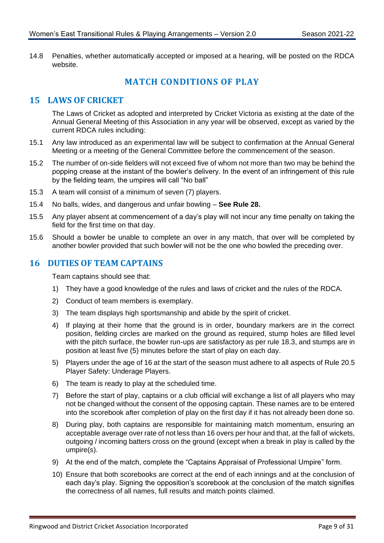<span id="page-11-0"></span>14.8 Penalties, whether automatically accepted or imposed at a hearing, will be posted on the RDCA website.

# **MATCH CONDITIONS OF PLAY**

# <span id="page-11-1"></span>**15 LAWS OF CRICKET**

The Laws of Cricket as adopted and interpreted by Cricket Victoria as existing at the date of the Annual General Meeting of this Association in any year will be observed, except as varied by the current RDCA rules including:

- 15.1 Any law introduced as an experimental law will be subject to confirmation at the Annual General Meeting or a meeting of the General Committee before the commencement of the season.
- 15.2 The number of on-side fielders will not exceed five of whom not more than two may be behind the popping crease at the instant of the bowler's delivery. In the event of an infringement of this rule by the fielding team, the umpires will call "No ball"
- 15.3 A team will consist of a minimum of seven (7) players.
- 15.4 No balls, wides, and dangerous and unfair bowling **See Rule [28.](#page-19-2)**
- 15.5 Any player absent at commencement of a day's play will not incur any time penalty on taking the field for the first time on that day.
- 15.6 Should a bowler be unable to complete an over in any match, that over will be completed by another bowler provided that such bowler will not be the one who bowled the preceding over.

#### <span id="page-11-2"></span>**16 DUTIES OF TEAM CAPTAINS**

Team captains should see that:

- 1) They have a good knowledge of the rules and laws of cricket and the rules of the RDCA.
- 2) Conduct of team members is exemplary.
- 3) The team displays high sportsmanship and abide by the spirit of cricket.
- 4) If playing at their home that the ground is in order, boundary markers are in the correct position, fielding circles are marked on the ground as required, stump holes are filled level with the pitch surface, the bowler run-ups are satisfactory as per rule [18.3,](#page-13-1) and stumps are in position at least five (5) minutes before the start of play on each day.
- 5) Players under the age of 16 at the start of the season must adhere to all aspects of Rul[e 20.5](#page-15-0) Player Safety: Underage Players.
- 6) The team is ready to play at the scheduled time.
- 7) Before the start of play, captains or a club official will exchange a list of all players who may not be changed without the consent of the opposing captain. These names are to be entered into the scorebook after completion of play on the first day if it has not already been done so.
- 8) During play, both captains are responsible for maintaining match momentum, ensuring an acceptable average over rate of not less than 16 overs per hour and that, at the fall of wickets, outgoing / incoming batters cross on the ground (except when a break in play is called by the umpire(s).
- 9) At the end of the match, complete the "Captains Appraisal of Professional Umpire" form.
- 10) Ensure that both scorebooks are correct at the end of each innings and at the conclusion of each day's play. Signing the opposition's scorebook at the conclusion of the match signifies the correctness of all names, full results and match points claimed.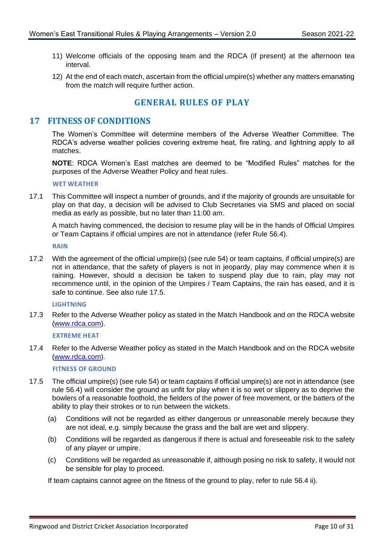- 11) Welcome officials of the opposing team and the RDCA (if present) at the afternoon tea interval.
- 12) At the end of each match, ascertain from the official umpire(s) whether any matters emanating from the match will require further action.

# **GENERAL RULES OF PLAY**

#### <span id="page-12-1"></span><span id="page-12-0"></span>**17 FITNESS OF CONDITIONS**

The Women's Committee will determine members of the Adverse Weather Committee. The RDCA's adverse weather policies covering extreme heat, fire rating, and lightning apply to all matches.

**NOTE**: RDCA Women's East matches are deemed to be "Modified Rules" matches for the purposes of the Adverse Weather Policy and heat rules.

#### **WET WEATHER**

17.1 This Committee will inspect a number of grounds, and if the majority of grounds are unsuitable for play on that day, a decision will be advised to Club Secretaries via SMS and placed on social media as early as possible, but no later than 11:00 am.

A match having commenced, the decision to resume play will be in the hands of Official Umpires or Team Captains if official umpires are not in attendance (refer Rule [56.4\)](#page-30-2).

**RAIN**

17.2 With the agreement of the official umpire(s) (see rule [54\)](#page-29-2) or team captains, if official umpire(s) are not in attendance, that the safety of players is not in jeopardy, play may commence when it is raining. However, should a decision be taken to suspend play due to rain, play may not recommence until, in the opinion of the Umpires / Team Captains, the rain has eased, and it is safe to continue. See also rule [17.5.](#page-12-2)

#### **LIGHTNING**

17.3 Refer to the Adverse Weather policy as stated in the Match Handbook and on the RDCA website [\(www.rdca.com\).](http://www.rdca.com/)

**EXTREME HEAT**

17.4 Refer to the Adverse Weather policy as stated in the Match Handbook and on the RDCA website [\(www.rdca.com\).](http://www.rdca.com/)

#### **FITNESS OF GROUND**

- <span id="page-12-2"></span>17.5 The official umpire(s) (see rule [54\)](#page-29-2) or team captains if official umpire(s) are not in attendance (see rule [56.4\)](#page-30-2) will consider the ground as unfit for play when it is so wet or slippery as to deprive the bowlers of a reasonable foothold, the fielders of the power of free movement, or the batters of the ability to play their strokes or to run between the wickets.
	- (a) Conditions will not be regarded as either dangerous or unreasonable merely because they are not ideal, e.g. simply because the grass and the ball are wet and slippery.
	- (b) Conditions will be regarded as dangerous if there is actual and foreseeable risk to the safety of any player or umpire.
	- (c) Conditions will be regarded as unreasonable if, although posing no risk to safety, it would not be sensible for play to proceed.

If team captains cannot agree on the fitness of the ground to play, refer to rule [56.4](#page-30-2) ii).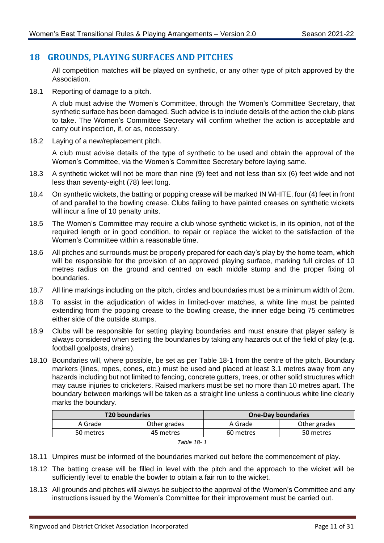## <span id="page-13-0"></span>**18 GROUNDS, PLAYING SURFACES AND PITCHES**

All competition matches will be played on synthetic, or any other type of pitch approved by the Association.

18.1 Reporting of damage to a pitch.

A club must advise the Women's Committee, through the Women's Committee Secretary, that synthetic surface has been damaged. Such advice is to include details of the action the club plans to take. The Women's Committee Secretary will confirm whether the action is acceptable and carry out inspection, if, or as, necessary.

18.2 Laying of a new/replacement pitch.

A club must advise details of the type of synthetic to be used and obtain the approval of the Women's Committee, via the Women's Committee Secretary before laying same.

- <span id="page-13-1"></span>18.3 A synthetic wicket will not be more than nine (9) feet and not less than six (6) feet wide and not less than seventy-eight (78) feet long.
- 18.4 On synthetic wickets, the batting or popping crease will be marked IN WHITE, four (4) feet in front of and parallel to the bowling crease. Clubs failing to have painted creases on synthetic wickets will incur a fine of 10 penalty units.
- 18.5 The Women's Committee may require a club whose synthetic wicket is, in its opinion, not of the required length or in good condition, to repair or replace the wicket to the satisfaction of the Women's Committee within a reasonable time.
- 18.6 All pitches and surrounds must be properly prepared for each day's play by the home team, which will be responsible for the provision of an approved playing surface, marking full circles of 10 metres radius on the ground and centred on each middle stump and the proper fixing of boundaries.
- 18.7 All line markings including on the pitch, circles and boundaries must be a minimum width of 2cm.
- <span id="page-13-2"></span>18.8 To assist in the adjudication of wides in limited-over matches, a white line must be painted extending from the popping crease to the bowling crease, the inner edge being 75 centimetres either side of the outside stumps.
- 18.9 Clubs will be responsible for setting playing boundaries and must ensure that player safety is always considered when setting the boundaries by taking any hazards out of the field of play (e.g. football goalposts, drains).
- 18.10 Boundaries will, where possible, be set as per Table 18-1 from the centre of the pitch. Boundary markers (lines, ropes, cones, etc.) must be used and placed at least 3.1 metres away from any hazards including but not limited to fencing, concrete gutters, trees, or other solid structures which may cause injuries to cricketers. Raised markers must be set no more than 10 metres apart. The boundary between markings will be taken as a straight line unless a continuous white line clearly marks the boundary.

|           | <b>T20 boundaries</b> | <b>One-Day boundaries</b> |              |  |
|-----------|-----------------------|---------------------------|--------------|--|
| A Grade   | Other grades          | A Grade                   | Other grades |  |
| 50 metres | 45 metres             | 60 metres                 | 50 metres    |  |
|           |                       |                           |              |  |

- 18.11 Umpires must be informed of the boundaries marked out before the commencement of play.
- 18.12 The batting crease will be filled in level with the pitch and the approach to the wicket will be sufficiently level to enable the bowler to obtain a fair run to the wicket.
- 18.13 All grounds and pitches will always be subject to the approval of the Women's Committee and any instructions issued by the Women's Committee for their improvement must be carried out.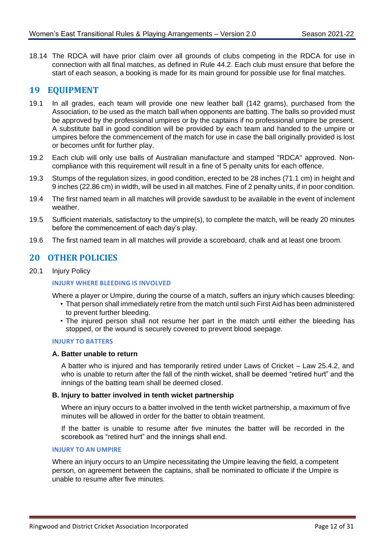18.14 The RDCA will have prior claim over all grounds of clubs competing in the RDCA for use in connection with all final matches, as defined in Rule [44.2.](#page-24-3) Each club must ensure that before the start of each season, a booking is made for its main ground for possible use for final matches.

#### <span id="page-14-0"></span>**19 EQUIPMENT**

- 19.1 In all grades, each team will provide one new leather ball (142 grams), purchased from the Association, to be used as the match ball when opponents are batting. The balls so provided must be approved by the professional umpires or by the captains if no professional umpire be present. A substitute ball in good condition will be provided by each team and handed to the umpire or umpires before the commencement of the match for use in case the ball originally provided is lost or becomes unfit for further play.
- 19.2 Each club will only use balls of Australian manufacture and stamped "RDCA" approved. Noncompliance with this requirement will result in a fine of 5 penalty units for each offence.
- 19.3 Stumps of the regulation sizes, in good condition, erected to be 28 inches (71.1 cm) in height and 9 inches (22.86 cm) in width, will be used in all matches. Fine of 2 penalty units, if in poor condition.
- 19.4 The first named team in all matches will provide sawdust to be available in the event of inclement weather.
- 19.5 Sufficient materials, satisfactory to the umpire(s), to complete the match, will be ready 20 minutes before the commencement of each day's play.
- 19.6 The first named team in all matches will provide a scoreboard, chalk and at least one broom.

#### <span id="page-14-1"></span>**20 OTHER POLICIES**

20.1 Injury Policy

#### **INJURY WHERE BLEEDING IS INVOLVED**

Where a player or Umpire, during the course of a match, suffers an injury which causes bleeding:

- That person shall immediately retire from the match until such First Aid has been administered to prevent further bleeding.
- The injured person shall not resume her part in the match until either the bleeding has stopped, or the wound is securely covered to prevent blood seepage.

#### **INJURY TO BATTERS**

#### **A. Batter unable to return**

A batter who is injured and has temporarily retired under Laws of Cricket – Law 25.4.2, and who is unable to return after the fall of the ninth wicket, shall be deemed "retired hurt" and the innings of the batting team shall be deemed closed.

#### **B. Injury to batter involved in tenth wicket partnership**

Where an injury occurs to a batter involved in the tenth wicket partnership, a maximum of five minutes will be allowed in order for the batter to obtain treatment.

If the batter is unable to resume after five minutes the batter will be recorded in the scorebook as "retired hurt" and the innings shall end.

#### **INJURY TO AN UMPIRE**

Where an injury occurs to an Umpire necessitating the Umpire leaving the field, a competent person, on agreement between the captains, shall be nominated to officiate if the Umpire is unable to resume after five minutes.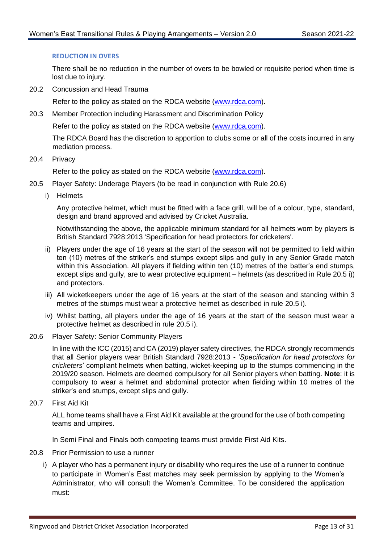#### **REDUCTION IN OVERS**

There shall be no reduction in the number of overs to be bowled or requisite period when time is lost due to injury.

20.2 Concussion and Head Trauma

Refer to the policy as stated on the RDCA website [\(www.rdca.com\).](http://www.rdca.com/)

20.3 Member Protection including Harassment and Discrimination Policy

Refer to the policy as stated on the RDCA website [\(www.rdca.com\).](http://www.rdca.com/)

The RDCA Board has the discretion to apportion to clubs some or all of the costs incurred in any mediation process.

20.4 Privacy

Refer to the policy as stated on the RDCA website [\(www.rdca.com\).](http://www.rdca.com/)

- <span id="page-15-0"></span>20.5 Player Safety: Underage Players (to be read in conjunction with Rule [20.6\)](#page-15-1)
	- i) Helmets

Any protective helmet, which must be fitted with a face grill, will be of a colour, type, standard, design and brand approved and advised by Cricket Australia.

Notwithstanding the above, the applicable minimum standard for all helmets worn by players is British Standard 7928:2013 'Specification for head protectors for cricketers'.

- ii) Players under the age of 16 years at the start of the season will not be permitted to field within ten (10) metres of the striker's end stumps except slips and gully in any Senior Grade match within this Association. All players if fielding within ten (10) metres of the batter's end stumps, except slips and gully, are to wear protective equipment – helmets (as described in Rule [20.5](#page-15-0) i)) and protectors.
- iii) All wicketkeepers under the age of 16 years at the start of the season and standing within 3 metres of the stumps must wear a protective helmet as described in rule [20.5](#page-15-0) i).
- iv) Whilst batting, all players under the age of 16 years at the start of the season must wear a protective helmet as described in rule [20.5](#page-15-0) i).
- <span id="page-15-1"></span>20.6 Player Safety: Senior Community Players

In line with the ICC (2015) and CA (2019) player safety directives, the RDCA strongly recommends that all Senior players wear British Standard 7928:2013 - *'Specification for head protectors for cricketers*' compliant helmets when batting, wicket-keeping up to the stumps commencing in the 2019/20 season. Helmets are deemed compulsory for all Senior players when batting. **Note**: it is compulsory to wear a helmet and abdominal protector when fielding within 10 metres of the striker's end stumps, except slips and gully.

20.7 First Aid Kit

ALL home teams shall have a First Aid Kit available at the ground for the use of both competing teams and umpires.

In Semi Final and Finals both competing teams must provide First Aid Kits.

- 20.8 Prior Permission to use a runner
	- i) A player who has a permanent injury or disability who requires the use of a runner to continue to participate in Women's East matches may seek permission by applying to the Women's Administrator, who will consult the Women's Committee. To be considered the application must: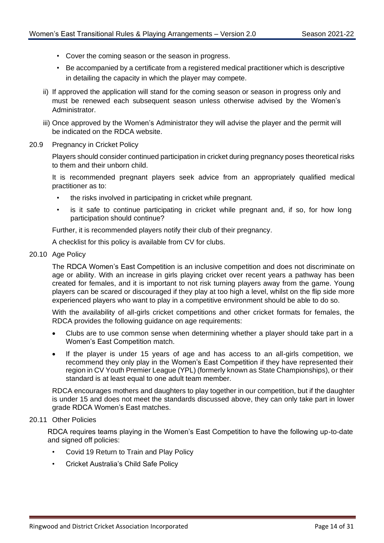- Cover the coming season or the season in progress.
- Be accompanied by a certificate from a registered medical practitioner which is descriptive in detailing the capacity in which the player may compete.
- ii) If approved the application will stand for the coming season or season in progress only and must be renewed each subsequent season unless otherwise advised by the Women's Administrator.
- iii) Once approved by the Women's Administrator they will advise the player and the permit will be indicated on the RDCA website.
- 20.9 Pregnancy in Cricket Policy

Players should consider continued participation in cricket during pregnancy poses theoretical risks to them and their unborn child.

It is recommended pregnant players seek advice from an appropriately qualified medical practitioner as to:

- the risks involved in participating in cricket while pregnant.
- is it safe to continue participating in cricket while pregnant and, if so, for how long participation should continue?

Further, it is recommended players notify their club of their pregnancy.

A checklist for this policy is available from CV for clubs.

20.10 Age Policy

The RDCA Women's East Competition is an inclusive competition and does not discriminate on age or ability. With an increase in girls playing cricket over recent years a pathway has been created for females, and it is important to not risk turning players away from the game. Young players can be scared or discouraged if they play at too high a level, whilst on the flip side more experienced players who want to play in a competitive environment should be able to do so.

With the availability of all-girls cricket competitions and other cricket formats for females, the RDCA provides the following guidance on age requirements:

- Clubs are to use common sense when determining whether a player should take part in a Women's East Competition match.
- If the player is under 15 years of age and has access to an all-girls competition, we recommend they only play in the Women's East Competition if they have represented their region in CV Youth Premier League (YPL) (formerly known as State Championships), or their standard is at least equal to one adult team member.

RDCA encourages mothers and daughters to play together in our competition, but if the daughter is under 15 and does not meet the standards discussed above, they can only take part in lower grade RDCA Women's East matches.

#### 20.11 Other Policies

RDCA requires teams playing in the Women's East Competition to have the following up-to-date and signed off policies:

- Covid 19 Return to Train and Play Policy
- Cricket Australia's Child Safe Policy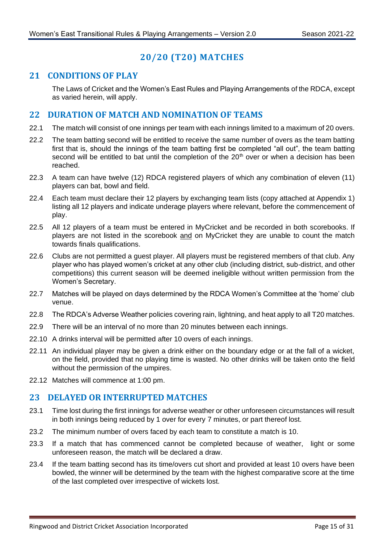# **20/20 (T20) MATCHES**

# <span id="page-17-1"></span><span id="page-17-0"></span>**21 CONDITIONS OF PLAY**

The Laws of Cricket and the Women's East Rules and Playing Arrangements of the RDCA, except as varied herein, will apply.

#### <span id="page-17-2"></span>**22 DURATION OF MATCH AND NOMINATION OF TEAMS**

- 22.1 The match will consist of one innings per team with each innings limited to a maximum of 20 overs.
- 22.2 The team batting second will be entitled to receive the same number of overs as the team batting first that is, should the innings of the team batting first be completed "all out", the team batting second will be entitled to bat until the completion of the  $20<sup>th</sup>$  over or when a decision has been reached.
- 22.3 A team can have twelve (12) RDCA registered players of which any combination of eleven (11) players can bat, bowl and field.
- 22.4 Each team must declare their 12 players by exchanging team lists (copy attached at Appendix 1) listing all 12 players and indicate underage players where relevant, before the commencement of play.
- 22.5 All 12 players of a team must be entered in MyCricket and be recorded in both scorebooks. If players are not listed in the scorebook and on MyCricket they are unable to count the match towards finals qualifications.
- 22.6 Clubs are not permitted a guest player. All players must be registered members of that club. Any player who has played women's cricket at any other club (including district, sub-district, and other competitions) this current season will be deemed ineligible without written permission from the Women's Secretary.
- 22.7 Matches will be played on days determined by the RDCA Women's Committee at the 'home' club venue.
- 22.8 The RDCA's Adverse Weather policies covering rain, lightning, and heat apply to all T20 matches.
- 22.9 There will be an interval of no more than 20 minutes between each innings.
- 22.10 A drinks interval will be permitted after 10 overs of each innings.
- 22.11 An individual player may be given a drink either on the boundary edge or at the fall of a wicket, on the field, provided that no playing time is wasted. No other drinks will be taken onto the field without the permission of the umpires.
- 22.12 Matches will commence at 1:00 pm.

#### <span id="page-17-3"></span>**23 DELAYED OR INTERRUPTED MATCHES**

- 23.1 Time lost during the first innings for adverse weather or other unforeseen circumstances will result in both innings being reduced by 1 over for every 7 minutes, or part thereof lost.
- 23.2 The minimum number of overs faced by each team to constitute a match is 10.
- 23.3 If a match that has commenced cannot be completed because of weather, light or some unforeseen reason, the match will be declared a draw.
- 23.4 If the team batting second has its time/overs cut short and provided at least 10 overs have been bowled, the winner will be determined by the team with the highest comparative score at the time of the last completed over irrespective of wickets lost.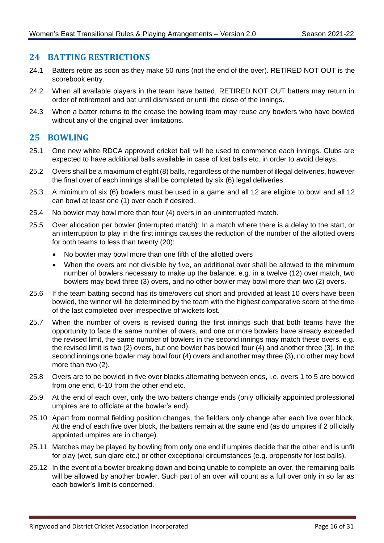#### <span id="page-18-0"></span>**24 BATTING RESTRICTIONS**

- 24.1 Batters retire as soon as they make 50 runs (not the end of the over). RETIRED NOT OUT is the scorebook entry.
- 24.2 When all available players in the team have batted, RETIRED NOT OUT batters may return in order of retirement and bat until dismissed or until the close of the innings.
- 24.3 When a batter returns to the crease the bowling team may reuse any bowlers who have bowled without any of the original over limitations.

#### <span id="page-18-1"></span>**25 BOWLING**

- 25.1 One new white RDCA approved cricket ball will be used to commence each innings. Clubs are expected to have additional balls available in case of lost balls etc. in order to avoid delays.
- 25.2 Overs shall be a maximum of eight (8) balls, regardless of the number of illegal deliveries, however the final over of each innings shall be completed by six (6) legal deliveries.
- 25.3 A minimum of six (6) bowlers must be used in a game and all 12 are eligible to bowl and all 12 can bowl at least one (1) over each if desired.
- 25.4 No bowler may bowl more than four (4) overs in an uninterrupted match.
- 25.5 Over allocation per bowler (interrupted match): In a match where there is a delay to the start, or an interruption to play in the first innings causes the reduction of the number of the allotted overs for both teams to less than twenty (20):
	- No bowler may bowl more than one fifth of the allotted overs
	- When the overs are not divisible by five, an additional over shall be allowed to the minimum number of bowlers necessary to make up the balance. e.g. in a twelve (12) over match, two bowlers may bowl three (3) overs, and no other bowler may bowl more than two (2) overs.
- 25.6 If the team batting second has its time/overs cut short and provided at least 10 overs have been bowled, the winner will be determined by the team with the highest comparative score at the time of the last completed over irrespective of wickets lost.
- 25.7 When the number of overs is revised during the first innings such that both teams have the opportunity to face the same number of overs, and one or more bowlers have already exceeded the revised limit, the same number of bowlers in the second innings may match these overs. e.g. the revised limit is two (2) overs, but one bowler has bowled four (4) and another three (3). In the second innings one bowler may bowl four (4) overs and another may three (3), no other may bowl more than two (2).
- 25.8 Overs are to be bowled in five over blocks alternating between ends, i.e. overs 1 to 5 are bowled from one end, 6-10 from the other end etc.
- 25.9 At the end of each over, only the two batters change ends (only officially appointed professional umpires are to officiate at the bowler's end).
- 25.10 Apart from normal fielding position changes, the fielders only change after each five over block. At the end of each five over block, the batters remain at the same end (as do umpires if 2 officially appointed umpires are in charge).
- 25.11 Matches may be played by bowling from only one end if umpires decide that the other end is unfit for play (wet, sun glare etc.) or other exceptional circumstances (e.g. propensity for lost balls).
- 25.12 In the event of a bowler breaking down and being unable to complete an over, the remaining balls will be allowed by another bowler. Such part of an over will count as a full over only in so far as each bowler's limit is concerned.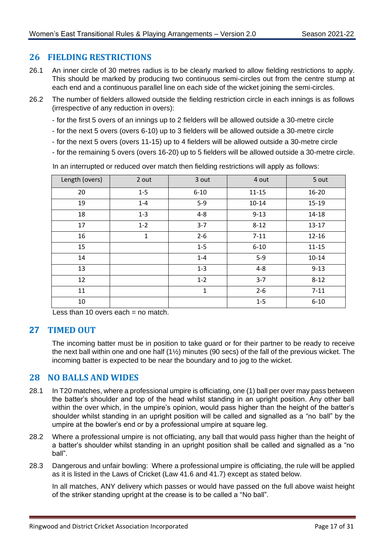#### <span id="page-19-0"></span>**26 FIELDING RESTRICTIONS**

- 26.1 An inner circle of 30 metres radius is to be clearly marked to allow fielding restrictions to apply. This should be marked by producing two continuous semi-circles out from the centre stump at each end and a continuous parallel line on each side of the wicket joining the semi-circles.
- 26.2 The number of fielders allowed outside the fielding restriction circle in each innings is as follows (irrespective of any reduction in overs):
	- for the first 5 overs of an innings up to 2 fielders will be allowed outside a 30-metre circle
	- for the next 5 overs (overs 6-10) up to 3 fielders will be allowed outside a 30-metre circle
	- for the next 5 overs (overs 11-15) up to 4 fielders will be allowed outside a 30-metre circle
	- for the remaining 5 overs (overs 16-20) up to 5 fielders will be allowed outside a 30-metre circle.

| Length (overs) | 2 out        | 3 out    | 4 out     | 5 out     |
|----------------|--------------|----------|-----------|-----------|
| 20             | $1 - 5$      | $6 - 10$ | $11 - 15$ | 16-20     |
| 19             | $1 - 4$      | $5-9$    | $10 - 14$ | 15-19     |
| 18             | $1 - 3$      | $4 - 8$  | $9 - 13$  | 14-18     |
| 17             | $1 - 2$      | $3 - 7$  | $8 - 12$  | $13 - 17$ |
| 16             | $\mathbf{1}$ | $2 - 6$  | $7 - 11$  | $12 - 16$ |
| 15             |              | $1 - 5$  | $6 - 10$  | $11 - 15$ |
| 14             |              | $1 - 4$  | $5-9$     | $10 - 14$ |
| 13             |              | $1 - 3$  | $4 - 8$   | $9 - 13$  |
| 12             |              | $1 - 2$  | $3 - 7$   | $8 - 12$  |
| 11             |              | 1        | $2 - 6$   | $7 - 11$  |
| 10             |              |          | $1 - 5$   | $6 - 10$  |

In an interrupted or reduced over match then fielding restrictions will apply as follows:

Less than 10 overs each  $=$  no match.

#### <span id="page-19-1"></span>**27 TIMED OUT**

The incoming batter must be in position to take guard or for their partner to be ready to receive the next ball within one and one half (1½) minutes (90 secs) of the fall of the previous wicket. The incoming batter is expected to be near the boundary and to jog to the wicket.

#### <span id="page-19-2"></span>**28 NO BALLS AND WIDES**

- 28.1 In T20 matches, where a professional umpire is officiating, one (1) ball per over may pass between the batter's shoulder and top of the head whilst standing in an upright position. Any other ball within the over which, in the umpire's opinion, would pass higher than the height of the batter's shoulder whilst standing in an upright position will be called and signalled as a "no ball" by the umpire at the bowler's end or by a professional umpire at square leg.
- 28.2 Where a professional umpire is not officiating, any ball that would pass higher than the height of a batter's shoulder whilst standing in an upright position shall be called and signalled as a "no ball".
- 28.3 Dangerous and unfair bowling: Where a professional umpire is officiating, the rule will be applied as it is listed in the Laws of Cricket (Law 41.6 and 41.7) except as stated below.

In all matches, ANY delivery which passes or would have passed on the full above waist height of the striker standing upright at the crease is to be called a "No ball".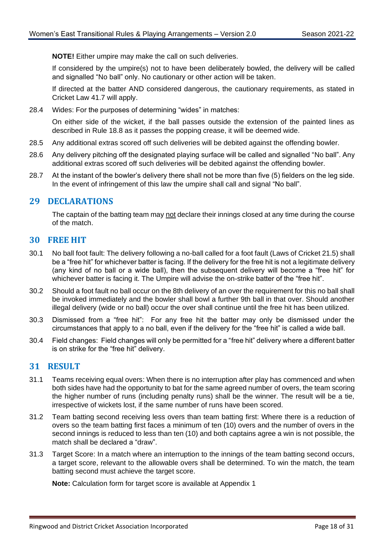**NOTE!** Either umpire may make the call on such deliveries.

If considered by the umpire(s) not to have been deliberately bowled, the delivery will be called and signalled "No ball" only. No cautionary or other action will be taken.

If directed at the batter AND considered dangerous, the cautionary requirements, as stated in Cricket Law 41.7 will apply.

28.4 Wides: For the purposes of determining "wides" in matches:

On either side of the wicket, if the ball passes outside the extension of the painted lines as described in Rule [18.8](#page-13-2) as it passes the popping crease, it will be deemed wide.

- 28.5 Any additional extras scored off such deliveries will be debited against the offending bowler.
- 28.6 Any delivery pitching off the designated playing surface will be called and signalled "No ball". Any additional extras scored off such deliveries will be debited against the offending bowler.
- 28.7 At the instant of the bowler's delivery there shall not be more than five (5) fielders on the leg side. In the event of infringement of this law the umpire shall call and signal "No ball".

#### <span id="page-20-0"></span>**29 DECLARATIONS**

The captain of the batting team may not declare their innings closed at any time during the course of the match.

#### <span id="page-20-1"></span>**30 FREE HIT**

- 30.1 No ball foot fault: The delivery following a no-ball called for a foot fault (Laws of Cricket 21.5) shall be a "free hit" for whichever batter is facing. If the delivery for the free hit is not a legitimate delivery (any kind of no ball or a wide ball), then the subsequent delivery will become a "free hit" for whichever batter is facing it. The Umpire will advise the on-strike batter of the "free hit".
- 30.2 Should a foot fault no ball occur on the 8th delivery of an over the requirement for this no ball shall be invoked immediately and the bowler shall bowl a further 9th ball in that over. Should another illegal delivery (wide or no ball) occur the over shall continue until the free hit has been utilized.
- 30.3 Dismissed from a "free hit": For any free hit the batter may only be dismissed under the circumstances that apply to a no ball, even if the delivery for the "free hit" is called a wide ball.
- 30.4 Field changes: Field changes will only be permitted for a "free hit" delivery where a different batter is on strike for the "free hit" delivery.

#### <span id="page-20-2"></span>**31 RESULT**

- 31.1 Teams receiving equal overs: When there is no interruption after play has commenced and when both sides have had the opportunity to bat for the same agreed number of overs, the team scoring the higher number of runs (including penalty runs) shall be the winner. The result will be a tie, irrespective of wickets lost, if the same number of runs have been scored.
- 31.2 Team batting second receiving less overs than team batting first: Where there is a reduction of overs so the team batting first faces a minimum of ten (10) overs and the number of overs in the second innings is reduced to less than ten (10) and both captains agree a win is not possible, the match shall be declared a "draw".
- 31.3 Target Score: In a match where an interruption to the innings of the team batting second occurs, a target score, relevant to the allowable overs shall be determined. To win the match, the team batting second must achieve the target score.

**Note:** Calculation form for target score is available at Appendix 1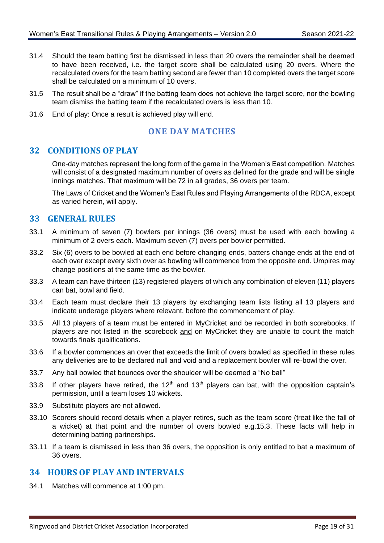- 31.4 Should the team batting first be dismissed in less than 20 overs the remainder shall be deemed to have been received, i.e. the target score shall be calculated using 20 overs. Where the recalculated overs for the team batting second are fewer than 10 completed overs the target score shall be calculated on a minimum of 10 overs.
- 31.5 The result shall be a "draw" if the batting team does not achieve the target score, nor the bowling team dismiss the batting team if the recalculated overs is less than 10.
- <span id="page-21-0"></span>31.6 End of play: Once a result is achieved play will end.

## **ONE DAY MATCHES**

#### <span id="page-21-1"></span>**32 CONDITIONS OF PLAY**

One-day matches represent the long form of the game in the Women's East competition. Matches will consist of a designated maximum number of overs as defined for the grade and will be single innings matches. That maximum will be 72 in all grades, 36 overs per team.

The Laws of Cricket and the Women's East Rules and Playing Arrangements of the RDCA, except as varied herein, will apply.

#### <span id="page-21-2"></span>**33 GENERAL RULES**

- 33.1 A minimum of seven (7) bowlers per innings (36 overs) must be used with each bowling a minimum of 2 overs each. Maximum seven (7) overs per bowler permitted.
- 33.2 Six (6) overs to be bowled at each end before changing ends, batters change ends at the end of each over except every sixth over as bowling will commence from the opposite end. Umpires may change positions at the same time as the bowler.
- 33.3 A team can have thirteen (13) registered players of which any combination of eleven (11) players can bat, bowl and field.
- 33.4 Each team must declare their 13 players by exchanging team lists listing all 13 players and indicate underage players where relevant, before the commencement of play.
- 33.5 All 13 players of a team must be entered in MyCricket and be recorded in both scorebooks. If players are not listed in the scorebook and on MyCricket they are unable to count the match towards finals qualifications.
- 33.6 If a bowler commences an over that exceeds the limit of overs bowled as specified in these rules any deliveries are to be declared null and void and a replacement bowler will re-bowl the over.
- 33.7 Any ball bowled that bounces over the shoulder will be deemed a "No ball"
- 33.8 If other players have retired, the 12<sup>th</sup> and 13<sup>th</sup> players can bat, with the opposition captain's permission, until a team loses 10 wickets.
- 33.9 Substitute players are not allowed.
- 33.10 Scorers should record details when a player retires, such as the team score (treat like the fall of a wicket) at that point and the number of overs bowled e.g.15.3. These facts will help in determining batting partnerships.
- 33.11 If a team is dismissed in less than 36 overs, the opposition is only entitled to bat a maximum of 36 overs.

#### <span id="page-21-3"></span>**34 HOURS OF PLAY AND INTERVALS**

34.1 Matches will commence at 1:00 pm.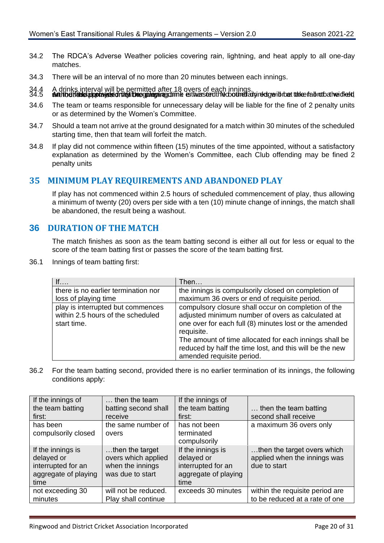- 34.2 The RDCA's Adverse Weather policies covering rain, lightning, and heat apply to all one-day matches.
- 34.3 There will be an interval of no more than 20 minutes between each innings.
- 34.4 A drinks interval will be permitted after 18 overs of each innings. 34.5 **Authoettade approxists on any theophamines of the esthers text his counsel advired by a take fall not always dead**
- 34.6 The team or teams responsible for unnecessary delay will be liable for the fine of 2 penalty units or as determined by the Women's Committee.
- 34.7 Should a team not arrive at the ground designated for a match within 30 minutes of the scheduled starting time, then that team will forfeit the match.
- 34.8 If play did not commence within fifteen (15) minutes of the time appointed, without a satisfactory explanation as determined by the Women's Committee, each Club offending may be fined 2 penalty units

#### <span id="page-22-0"></span>**35 MINIMUM PLAY REQUIREMENTS AND ABANDONED PLAY**

If play has not commenced within 2.5 hours of scheduled commencement of play, thus allowing a minimum of twenty (20) overs per side with a ten (10) minute change of innings, the match shall be abandoned, the result being a washout.

#### <span id="page-22-1"></span>**36 DURATION OF THE MATCH**

The match finishes as soon as the team batting second is either all out for less or equal to the score of the team batting first or passes the score of the team batting first.

36.1 Innings of team batting first:

| If                                                                                    | Then                                                                                                                                                                                                                                                                                                                               |
|---------------------------------------------------------------------------------------|------------------------------------------------------------------------------------------------------------------------------------------------------------------------------------------------------------------------------------------------------------------------------------------------------------------------------------|
| there is no earlier termination nor                                                   | the innings is compulsorily closed on completion of                                                                                                                                                                                                                                                                                |
| loss of playing time                                                                  | maximum 36 overs or end of requisite period.                                                                                                                                                                                                                                                                                       |
| play is interrupted but commences<br>within 2.5 hours of the scheduled<br>start time. | compulsory closure shall occur on completion of the<br>adjusted minimum number of overs as calculated at<br>one over for each full (8) minutes lost or the amended<br>requisite.<br>The amount of time allocated for each innings shall be<br>reduced by half the time lost, and this will be the new<br>amended requisite period. |

36.2 For the team batting second, provided there is no earlier termination of its innings, the following conditions apply:

| If the innings of    | $\ldots$ then the team | If the innings of    |                                 |
|----------------------|------------------------|----------------------|---------------------------------|
| the team batting     | batting second shall   | the team batting     | then the team batting           |
| first:               | receive                | first:               | second shall receive            |
| has been             | the same number of     | has not been         | a maximum 36 overs only         |
| compulsorily closed  | overs                  | terminated           |                                 |
|                      |                        | compulsorily         |                                 |
| If the innings is    | then the target        | If the innings is    | then the target overs which     |
| delayed or           | overs which applied    | delayed or           | applied when the innings was    |
| interrupted for an   | when the innings       | interrupted for an   | due to start                    |
| aggregate of playing | was due to start       | aggregate of playing |                                 |
| time                 |                        | time                 |                                 |
| not exceeding 30     | will not be reduced.   | exceeds 30 minutes   | within the requisite period are |
| minutes              | Play shall continue    |                      | to be reduced at a rate of one  |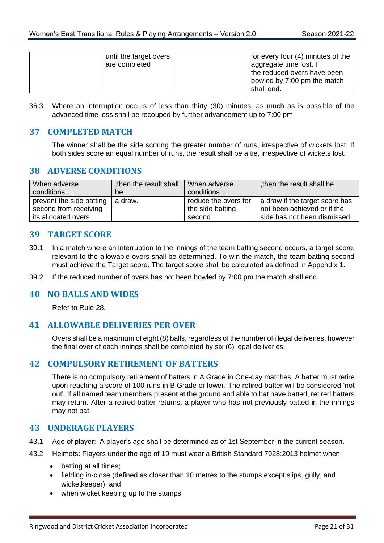| until the target overs<br>are completed | for every four (4) minutes of the<br>aggregate time lost. If<br>the reduced overs have been<br>bowled by 7:00 pm the match |
|-----------------------------------------|----------------------------------------------------------------------------------------------------------------------------|
|                                         | shall end.                                                                                                                 |

36.3 Where an interruption occurs of less than thirty (30) minutes, as much as is possible of the advanced time loss shall be recouped by further advancement up to 7:00 pm

#### <span id="page-23-0"></span>**37 COMPLETED MATCH**

The winner shall be the side scoring the greater number of runs, irrespective of wickets lost. If both sides score an equal number of runs, the result shall be a tie, irrespective of wickets lost.

#### <span id="page-23-1"></span>**38 ADVERSE CONDITIONS**

| When adverse                                      | then the result shall | When adverse                             | then the result shall be                                      |
|---------------------------------------------------|-----------------------|------------------------------------------|---------------------------------------------------------------|
| conditions                                        | be                    | conditions                               |                                                               |
| prevent the side batting<br>second from receiving | a draw.               | reduce the overs for<br>the side batting | a draw if the target score has<br>not been achieved or if the |
| its allocated overs                               |                       | second                                   | side has not been dismissed.                                  |
|                                                   |                       |                                          |                                                               |

#### <span id="page-23-2"></span>**39 TARGET SCORE**

- 39.1 In a match where an interruption to the innings of the team batting second occurs, a target score, relevant to the allowable overs shall be determined. To win the match, the team batting second must achieve the Target score. The target score shall be calculated as defined in Appendix 1.
- 39.2 If the reduced number of overs has not been bowled by 7:00 pm the match shall end.

#### <span id="page-23-3"></span>**40 NO BALLS AND WIDES**

Refer to Rule [28.](#page-19-2)

#### <span id="page-23-4"></span>**41 ALLOWABLE DELIVERIES PER OVER**

Overs shall be a maximum of eight (8) balls, regardless of the number of illegal deliveries, however the final over of each innings shall be completed by six (6) legal deliveries.

#### <span id="page-23-5"></span>**42 COMPULSORY RETIREMENT OF BATTERS**

There is no compulsory retirement of batters in A Grade in One-day matches. A batter must retire upon reaching a score of 100 runs in B Grade or lower. The retired batter will be considered 'not out'. If all named team members present at the ground and able to bat have batted, retired batters may return. After a retired batter returns, a player who has not previously batted in the innings may not bat.

#### <span id="page-23-6"></span>**43 UNDERAGE PLAYERS**

- 43.1 Age of player: A player's age shall be determined as of 1st September in the current season.
- 43.2 Helmets: Players under the age of 19 must wear a British Standard 7928:2013 helmet when:
	- batting at all times;
	- fielding in-close (defined as closer than 10 metres to the stumps except slips, gully, and wicketkeeper); and
	- when wicket keeping up to the stumps.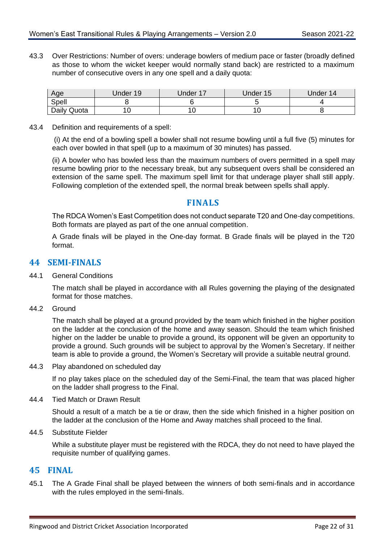43.3 Over Restrictions: Number of overs: underage bowlers of medium pace or faster (broadly defined as those to whom the wicket keeper would normally stand back) are restricted to a maximum number of consecutive overs in any one spell and a daily quota:

| Age         | Under 19 | <b>Jnder 17</b> | Under 15 | Under 14 |
|-------------|----------|-----------------|----------|----------|
| Spell       |          |                 |          |          |
| Daily Quota |          | ັບ              | 10       |          |

43.4 Definition and requirements of a spell:

(i) At the end of a bowling spell a bowler shall not resume bowling until a full five (5) minutes for each over bowled in that spell (up to a maximum of 30 minutes) has passed.

(ii) A bowler who has bowled less than the maximum numbers of overs permitted in a spell may resume bowling prior to the necessary break, but any subsequent overs shall be considered an extension of the same spell. The maximum spell limit for that underage player shall still apply. Following completion of the extended spell, the normal break between spells shall apply.

#### **FINALS**

<span id="page-24-0"></span>The RDCA Women's East Competition does not conduct separate T20 and One-day competitions. Both formats are played as part of the one annual competition.

A Grade finals will be played in the One-day format. B Grade finals will be played in the T20 format.

#### <span id="page-24-1"></span>**44 SEMI-FINALS**

44.1 General Conditions

The match shall be played in accordance with all Rules governing the playing of the designated format for those matches.

<span id="page-24-3"></span>44.2 Ground

The match shall be played at a ground provided by the team which finished in the higher position on the ladder at the conclusion of the home and away season. Should the team which finished higher on the ladder be unable to provide a ground, its opponent will be given an opportunity to provide a ground. Such grounds will be subject to approval by the Women's Secretary. If neither team is able to provide a ground, the Women's Secretary will provide a suitable neutral ground.

44.3 Play abandoned on scheduled day

If no play takes place on the scheduled day of the Semi-Final, the team that was placed higher on the ladder shall progress to the Final.

44.4 Tied Match or Drawn Result

Should a result of a match be a tie or draw, then the side which finished in a higher position on the ladder at the conclusion of the Home and Away matches shall proceed to the final.

44.5 Substitute Fielder

While a substitute player must be registered with the RDCA, they do not need to have played the requisite number of qualifying games.

#### <span id="page-24-2"></span>**45 FINAL**

45.1 The A Grade Final shall be played between the winners of both semi-finals and in accordance with the rules employed in the semi-finals.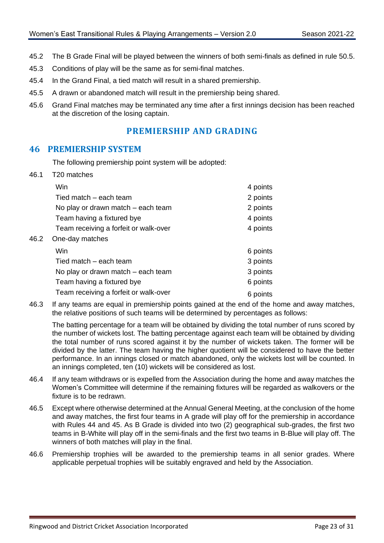- 45.2 The B Grade Final will be played between the winners of both semi-finals as defined in rule 50.5.
- 45.3 Conditions of play will be the same as for semi-final matches.
- 45.4 In the Grand Final, a tied match will result in a shared premiership.
- 45.5 A drawn or abandoned match will result in the premiership being shared.
- <span id="page-25-0"></span>45.6 Grand Final matches may be terminated any time after a first innings decision has been reached at the discretion of the losing captain.

## **PREMIERSHIP AND GRADING**

#### <span id="page-25-1"></span>**46 PREMIERSHIP SYSTEM**

The following premiership point system will be adopted:

46.1 T20 matches

 $46.2$ 

| Win<br>Tied match – each team<br>No play or drawn match – each team<br>Team having a fixtured bye<br>Team receiving a forfeit or walk-over<br>One-day matches | 4 points<br>2 points<br>2 points<br>4 points<br>4 points |
|---------------------------------------------------------------------------------------------------------------------------------------------------------------|----------------------------------------------------------|
| Win.                                                                                                                                                          | 6 points                                                 |
| Tied match – each team                                                                                                                                        | 3 points                                                 |
| No play or drawn match – each team                                                                                                                            | 3 points                                                 |
| Team having a fixtured bye                                                                                                                                    | 6 points                                                 |
| Team receiving a forfeit or walk-over                                                                                                                         | 6 points                                                 |

46.3 If any teams are equal in premiership points gained at the end of the home and away matches, the relative positions of such teams will be determined by percentages as follows:

The batting percentage for a team will be obtained by dividing the total number of runs scored by the number of wickets lost. The batting percentage against each team will be obtained by dividing the total number of runs scored against it by the number of wickets taken. The former will be divided by the latter. The team having the higher quotient will be considered to have the better performance. In an innings closed or match abandoned, only the wickets lost will be counted. In an innings completed, ten (10) wickets will be considered as lost.

- 46.4 If any team withdraws or is expelled from the Association during the home and away matches the Women's Committee will determine if the remaining fixtures will be regarded as walkovers or the fixture is to be redrawn.
- 46.5 Except where otherwise determined at the Annual General Meeting, at the conclusion of the home and away matches, the first four teams in A grade will play off for the premiership in accordance with Rules [44](#page-24-1) and [45.](#page-24-2) As B Grade is divided into two (2) geographical sub-grades, the first two teams in B-White will play off in the semi-finals and the first two teams in B-Blue will play off. The winners of both matches will play in the final.
- 46.6 Premiership trophies will be awarded to the premiership teams in all senior grades. Where applicable perpetual trophies will be suitably engraved and held by the Association.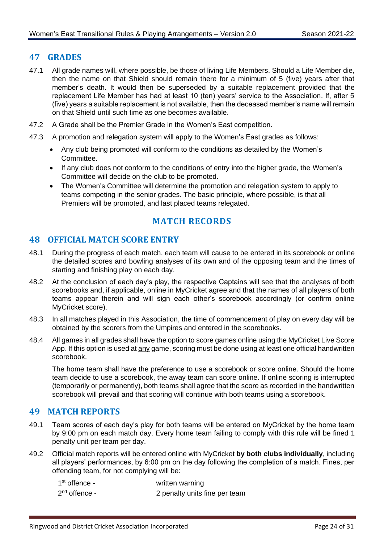#### <span id="page-26-0"></span>**47 GRADES**

- 47.1 All grade names will, where possible, be those of living Life Members. Should a Life Member die, then the name on that Shield should remain there for a minimum of 5 (five) years after that member's death. It would then be superseded by a suitable replacement provided that the replacement Life Member has had at least 10 (ten) years' service to the Association. If, after 5 (five) years a suitable replacement is not available, then the deceased member's name will remain on that Shield until such time as one becomes available.
- 47.2 A Grade shall be the Premier Grade in the Women's East competition.
- 47.3 A promotion and relegation system will apply to the Women's East grades as follows:
	- Any club being promoted will conform to the conditions as detailed by the Women's Committee.
	- If any club does not conform to the conditions of entry into the higher grade, the Women's Committee will decide on the club to be promoted.
	- The Women's Committee will determine the promotion and relegation system to apply to teams competing in the senior grades. The basic principle, where possible, is that all Premiers will be promoted, and last placed teams relegated.

# **MATCH RECORDS**

#### <span id="page-26-2"></span><span id="page-26-1"></span>**48 OFFICIAL MATCH SCORE ENTRY**

- 48.1 During the progress of each match, each team will cause to be entered in its scorebook or online the detailed scores and bowling analyses of its own and of the opposing team and the times of starting and finishing play on each day.
- 48.2 At the conclusion of each day's play, the respective Captains will see that the analyses of both scorebooks and, if applicable, online in MyCricket agree and that the names of all players of both teams appear therein and will sign each other's scorebook accordingly (or confirm online MyCricket score).
- 48.3 In all matches played in this Association, the time of commencement of play on every day will be obtained by the scorers from the Umpires and entered in the scorebooks.
- 48.4 All games in all grades shall have the option to score games online using the MyCricket Live Score App. If this option is used at any game, scoring must be done using at least one official handwritten scorebook.

The home team shall have the preference to use a scorebook or score online. Should the home team decide to use a scorebook, the away team can score online. If online scoring is interrupted (temporarily or permanently), both teams shall agree that the score as recorded in the handwritten scorebook will prevail and that scoring will continue with both teams using a scorebook.

#### <span id="page-26-3"></span>**49 MATCH REPORTS**

- 49.1 Team scores of each day's play for both teams will be entered on MyCricket by the home team by 9:00 pm on each match day. Every home team failing to comply with this rule will be fined 1 penalty unit per team per day.
- 49.2 Official match reports will be entered online with MyCricket **by both clubs individually**, including all players' performances, by 6:00 pm on the day following the completion of a match. Fines, per offending team, for not complying will be:

| $1st$ offence - | written warning               |
|-----------------|-------------------------------|
| $2nd$ offence - | 2 penalty units fine per team |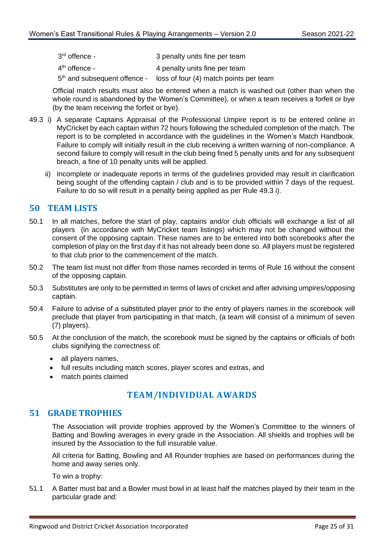| 3 <sup>rd</sup> offence - | 3 penalty units fine per team |
|---------------------------|-------------------------------|
|                           |                               |

- $4<sup>th</sup>$  offence -4 penalty units fine per team
- 5<sup>th</sup> and subsequent offence loss of four (4) match points per team

Official match results must also be entered when a match is washed out (other than when the whole round is abandoned by the Women's Committee), or when a team receives a forfeit or bye (by the team receiving the forfeit or bye).

- <span id="page-27-3"></span>49.3 i) A separate Captains Appraisal of the Professional Umpire report is to be entered online in MyCricket by each captain within 72 hours following the scheduled completion of the match. The report is to be completed in accordance with the guidelines in the Women's Match Handbook. Failure to comply will initially result in the club receiving a written warning of non-compliance. A second failure to comply will result in the club being fined 5 penalty units and for any subsequent breach, a fine of 10 penalty units will be applied.
	- ii) Incomplete or inadequate reports in terms of the guidelines provided may result in clarification being sought of the offending captain / club and is to be provided within 7 days of the request. Failure to do so will result in a penalty being applied as per Rule [49.3](#page-27-3) i).

#### <span id="page-27-0"></span>**50 TEAM LISTS**

- 50.1 In all matches, before the start of play, captains and/or club officials will exchange a list of all players (in accordance with MyCricket team listings) which may not be changed without the consent of the opposing captain. These names are to be entered into both scorebooks after the completion of play on the first day if it has not already been done so. All players must be registered to that club prior to the commencement of the match.
- 50.2 The team list must not differ from those names recorded in terms of Rule [16](#page-11-2) without the consent of the opposing captain.
- 50.3 Substitutes are only to be permitted in terms of laws of cricket and after advising umpires/opposing captain.
- 50.4 Failure to advise of a substituted player prior to the entry of players names in the scorebook will preclude that player from participating in that match, (a team will consist of a minimum of seven (7) players).
- 50.5 At the conclusion of the match, the scorebook must be signed by the captains or officials of both clubs signifying the correctness of:
	- all players names,
	- full results including match scores, player scores and extras, and
	- match points claimed

# **TEAM/INDIVIDUAL AWARDS**

#### <span id="page-27-2"></span><span id="page-27-1"></span>**51 GRADE TROPHIES**

The Association will provide trophies approved by the Women's Committee to the winners of Batting and Bowling averages in every grade in the Association. All shields and trophies will be insured by the Association to the full insurable value.

All criteria for Batting, Bowling and All Rounder trophies are based on performances during the home and away series only.

To win a trophy:

<span id="page-27-4"></span>51.1 A Batter must bat and a Bowler must bowl in at least half the matches played by their team in the particular grade and: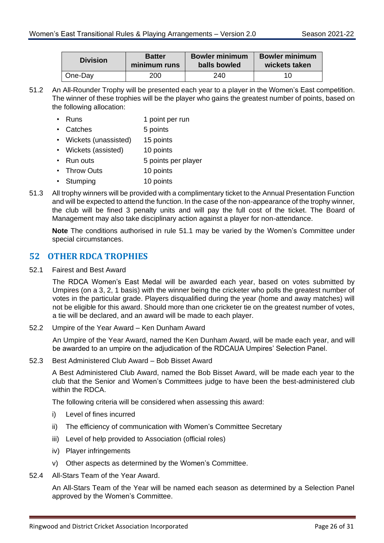| <b>Division</b> | <b>Batter</b> | <b>Bowler minimum</b> | <b>Bowler minimum</b> |
|-----------------|---------------|-----------------------|-----------------------|
|                 | minimum runs  | balls bowled          | wickets taken         |
| One-Day         | 200           | 240                   | 10                    |

51.2 An All-Rounder Trophy will be presented each year to a player in the Women's East competition. The winner of these trophies will be the player who gains the greatest number of points, based on the following allocation:

|  | $\cdot$ Runs | 1 point per run |
|--|--------------|-----------------|
|--|--------------|-----------------|

- Catches 5 points • Wickets (unassisted) 15 points • Wickets (assisted) 10 points
- Run outs 5 points per player
- Throw Outs 10 points
- Stumping 10 points
- 51.3 All trophy winners will be provided with a complimentary ticket to the Annual Presentation Function and will be expected to attend the function. In the case of the non-appearance of the trophy winner, the club will be fined 3 penalty units and will pay the full cost of the ticket. The Board of Management may also take disciplinary action against a player for non-attendance.

**Note** The conditions authorised in rule [51.1](#page-27-4) may be varied by the Women's Committee under special circumstances.

#### <span id="page-28-0"></span>**52 OTHER RDCA TROPHIES**

52.1 Fairest and Best Award

The RDCA Women's East Medal will be awarded each year, based on votes submitted by Umpires (on a 3, 2, 1 basis) with the winner being the cricketer who polls the greatest number of votes in the particular grade. Players disqualified during the year (home and away matches) will not be eligible for this award. Should more than one cricketer tie on the greatest number of votes, a tie will be declared, and an award will be made to each player.

52.2 Umpire of the Year Award – Ken Dunham Award

An Umpire of the Year Award, named the Ken Dunham Award, will be made each year, and will be awarded to an umpire on the adjudication of the RDCAUA Umpires' Selection Panel.

52.3 Best Administered Club Award – Bob Bisset Award

A Best Administered Club Award, named the Bob Bisset Award, will be made each year to the club that the Senior and Women's Committees judge to have been the best-administered club within the RDCA.

The following criteria will be considered when assessing this award:

- i) Level of fines incurred
- ii) The efficiency of communication with Women's Committee Secretary
- iii) Level of help provided to Association (official roles)
- iv) Player infringements
- v) Other aspects as determined by the Women's Committee.
- 52.4 All-Stars Team of the Year Award.

An All-Stars Team of the Year will be named each season as determined by a Selection Panel approved by the Women's Committee.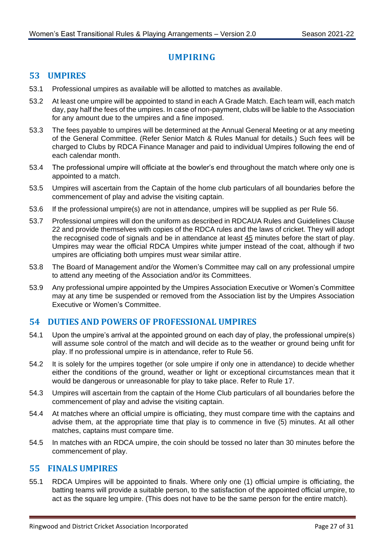# **UMPIRING**

#### <span id="page-29-1"></span><span id="page-29-0"></span>**53 UMPIRES**

- 53.1 Professional umpires as available will be allotted to matches as available.
- 53.2 At least one umpire will be appointed to stand in each A Grade Match. Each team will, each match day, pay half the fees of the umpires. In case of non-payment, clubs will be liable to the Association for any amount due to the umpires and a fine imposed.
- 53.3 The fees payable to umpires will be determined at the Annual General Meeting or at any meeting of the General Committee. (Refer Senior Match & Rules Manual for details.) Such fees will be charged to Clubs by RDCA Finance Manager and paid to individual Umpires following the end of each calendar month.
- 53.4 The professional umpire will officiate at the bowler's end throughout the match where only one is appointed to a match.
- 53.5 Umpires will ascertain from the Captain of the home club particulars of all boundaries before the commencement of play and advise the visiting captain.
- 53.6 If the professional umpire(s) are not in attendance, umpires will be supplied as per Rule [56.](#page-30-0)
- <span id="page-29-4"></span>53.7 Professional umpires will don the uniform as described in RDCAUA Rules and Guidelines Clause 22 and provide themselves with copies of the RDCA rules and the laws of cricket. They will adopt the recognised code of signals and be in attendance at least 45 minutes before the start of play. Umpires may wear the official RDCA Umpires white jumper instead of the coat, although if two umpires are officiating both umpires must wear similar attire.
- 53.8 The Board of Management and/or the Women's Committee may call on any professional umpire to attend any meeting of the Association and/or its Committees.
- 53.9 Any professional umpire appointed by the Umpires Association Executive or Women's Committee may at any time be suspended or removed from the Association list by the Umpires Association Executive or Women's Committee.

#### <span id="page-29-2"></span>**54 DUTIES AND POWERS OF PROFESSIONAL UMPIRES**

- 54.1 Upon the umpire's arrival at the appointed ground on each day of play, the professional umpire(s) will assume sole control of the match and will decide as to the weather or ground being unfit for play. If no professional umpire is in attendance, refer to Rule [56.](#page-30-0)
- 54.2 It is solely for the umpires together (or sole umpire if only one in attendance) to decide whether either the conditions of the ground, weather or light or exceptional circumstances mean that it would be dangerous or unreasonable for play to take place. Refer to Rule [17.](#page-12-1)
- 54.3 Umpires will ascertain from the captain of the Home Club particulars of all boundaries before the commencement of play and advise the visiting captain.
- 54.4 At matches where an official umpire is officiating, they must compare time with the captains and advise them, at the appropriate time that play is to commence in five (5) minutes. At all other matches, captains must compare time.
- 54.5 In matches with an RDCA umpire, the coin should be tossed no later than 30 minutes before the commencement of play.

#### <span id="page-29-3"></span>**55 FINALS UMPIRES**

55.1 RDCA Umpires will be appointed to finals. Where only one (1) official umpire is officiating, the batting teams will provide a suitable person, to the satisfaction of the appointed official umpire, to act as the square leg umpire. (This does not have to be the same person for the entire match).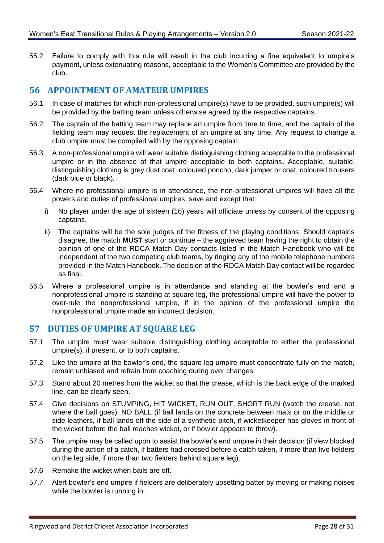55.2 Failure to comply with this rule will result in the club incurring a fine equivalent to umpire's payment, unless extenuating reasons, acceptable to the Women's Committee are provided by the club.

#### <span id="page-30-0"></span>**56 APPOINTMENT OF AMATEUR UMPIRES**

- 56.1 In case of matches for which non-professional umpire(s) have to be provided, such umpire(s) will be provided by the batting team unless otherwise agreed by the respective captains.
- 56.2 The captain of the batting team may replace an umpire from time to time, and the captain of the fielding team may request the replacement of an umpire at any time. Any request to change a club umpire must be complied with by the opposing captain.
- 56.3 A non-professional umpire will wear suitable distinguishing clothing acceptable to the professional umpire or in the absence of that umpire acceptable to both captains. Acceptable, suitable, distinguishing clothing is grey dust coat, coloured poncho, dark jumper or coat, coloured trousers (dark blue or black).
- <span id="page-30-2"></span>56.4 Where no professional umpire is in attendance, the non-professional umpires will have all the powers and duties of professional umpires, save and except that:
	- i) No player under the age of sixteen (16) years will officiate unless by consent of the opposing captains.
	- ii) The captains will be the sole judges of the fitness of the playing conditions. Should captains disagree, the match **MUST** start or continue – the aggrieved team having the right to obtain the opinion of one of the RDCA Match Day contacts listed in the Match Handbook who will be independent of the two competing club teams, by ringing any of the mobile telephone numbers provided in the Match Handbook. The decision of the RDCA Match Day contact will be regarded as final.
- 56.5 Where a professional umpire is in attendance and standing at the bowler's end and a nonprofessional umpire is standing at square leg, the professional umpire will have the power to over-rule the nonprofessional umpire, if in the opinion of the professional umpire the nonprofessional umpire made an incorrect decision.

#### <span id="page-30-1"></span>**57 DUTIES OF UMPIRE AT SQUARE LEG**

- 57.1 The umpire must wear suitable distinguishing clothing acceptable to either the professional umpire(s), if present, or to both captains.
- 57.2 Like the umpire at the bowler's end, the square leg umpire must concentrate fully on the match, remain unbiased and refrain from coaching during over changes.
- 57.3 Stand about 20 metres from the wicket so that the crease, which is the back edge of the marked line, can be clearly seen.
- 57.4 Give decisions on STUMPING, HIT WICKET, RUN OUT, SHORT RUN (watch the crease, not where the ball goes), NO BALL (if ball lands on the concrete between mats or on the middle or side leathers, if ball lands off the side of a synthetic pitch, if wicketkeeper has gloves in front of the wicket before the ball reaches wicket, or if bowler appears to throw).
- 57.5 The umpire may be called upon to assist the bowler's end umpire in their decision (if view blocked during the action of a catch, if batters had crossed before a catch taken, if more than five fielders on the leg side, if more than two fielders behind square leg).
- 57.6 Remake the wicket when bails are off.
- 57.7 Alert bowler's end umpire if fielders are deliberately upsetting batter by moving or making noises while the bowler is running in.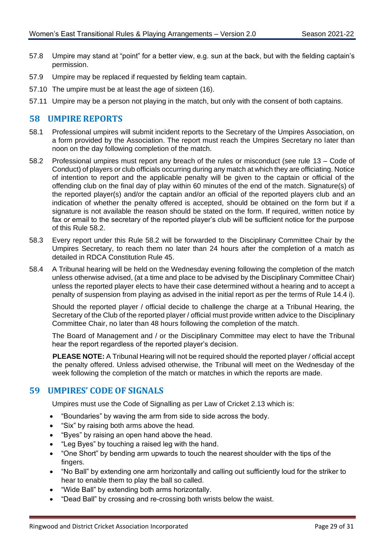- 57.8 Umpire may stand at "point" for a better view, e.g. sun at the back, but with the fielding captain's permission.
- 57.9 Umpire may be replaced if requested by fielding team captain.
- 57.10 The umpire must be at least the age of sixteen (16).
- 57.11 Umpire may be a person not playing in the match, but only with the consent of both captains.

#### <span id="page-31-0"></span>**58 UMPIRE REPORTS**

- 58.1 Professional umpires will submit incident reports to the Secretary of the Umpires Association, on a form provided by the Association. The report must reach the Umpires Secretary no later than noon on the day following completion of the match.
- <span id="page-31-2"></span>58.2 Professional umpires must report any breach of the rules or misconduct (see rule [13](#page-8-2) – Code of Conduct) of players or club officials occurring during any match at which they are officiating. Notice of intention to report and the applicable penalty will be given to the captain or official of the offending club on the final day of play within 60 minutes of the end of the match. Signature(s) of the reported player(s) and/or the captain and/or an official of the reported players club and an indication of whether the penalty offered is accepted, should be obtained on the form but if a signature is not available the reason should be stated on the form. If required, written notice by fax or email to the secretary of the reported player's club will be sufficient notice for the purpose of this Rule [58.2.](#page-31-2)
- 58.3 Every report under this Rule [58.2](#page-31-2) will be forwarded to the Disciplinary Committee Chair by the Umpires Secretary, to reach them no later than 24 hours after the completion of a match as detailed in RDCA Constitution Rule 45.
- 58.4 A Tribunal hearing will be held on the Wednesday evening following the completion of the match unless otherwise advised, (at a time and place to be advised by the Disciplinary Committee Chair) unless the reported player elects to have their case determined without a hearing and to accept a penalty of suspension from playing as advised in the initial report as per the terms of Rule [14.4](#page-9-1) i).

Should the reported player / official decide to challenge the charge at a Tribunal Hearing, the Secretary of the Club of the reported player / official must provide written advice to the Disciplinary Committee Chair, no later than 48 hours following the completion of the match.

The Board of Management and / or the Disciplinary Committee may elect to have the Tribunal hear the report regardless of the reported player's decision.

**PLEASE NOTE:** A Tribunal Hearing will not be required should the reported player / official accept the penalty offered. Unless advised otherwise, the Tribunal will meet on the Wednesday of the week following the completion of the match or matches in which the reports are made.

#### <span id="page-31-1"></span>**59 UMPIRES' CODE OF SIGNALS**

Umpires must use the Code of Signalling as per Law of Cricket 2.13 which is:

- "Boundaries" by waving the arm from side to side across the body.
- "Six" by raising both arms above the head.
- "Byes" by raising an open hand above the head.
- "Leg Byes" by touching a raised leg with the hand.
- "One Short" by bending arm upwards to touch the nearest shoulder with the tips of the fingers.
- "No Ball" by extending one arm horizontally and calling out sufficiently loud for the striker to hear to enable them to play the ball so called.
- "Wide Ball" by extending both arms horizontally.
- "Dead Ball" by crossing and re-crossing both wrists below the waist.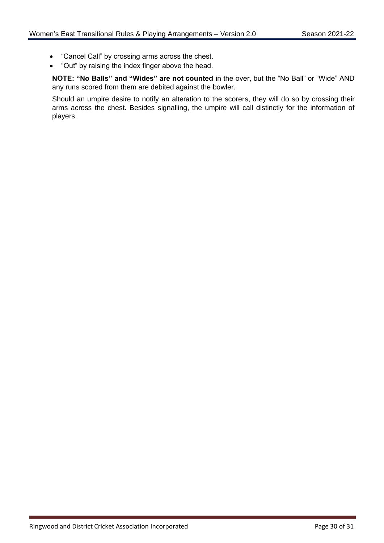- "Cancel Call" by crossing arms across the chest.
- "Out" by raising the index finger above the head.

**NOTE: "No Balls" and "Wides" are not counted** in the over, but the "No Ball" or "Wide" AND any runs scored from them are debited against the bowler.

Should an umpire desire to notify an alteration to the scorers, they will do so by crossing their arms across the chest. Besides signalling, the umpire will call distinctly for the information of players.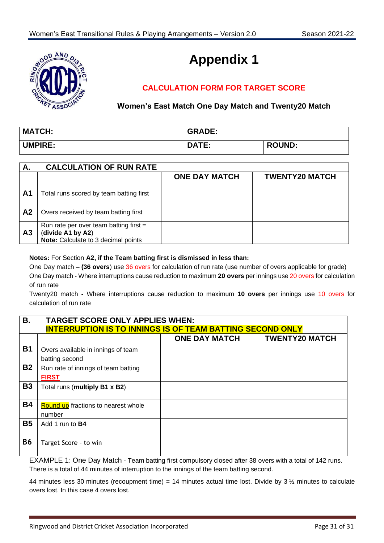

# **Appendix 1**

# **CALCULATION FORM FOR TARGET SCORE**

#### **Women's East Match One Day Match and Twenty20 Match**

| <b>MATCH:</b>  | <b>GRADE:</b> |               |
|----------------|---------------|---------------|
| <b>UMPIRE:</b> | <b>DATE:</b>  | <b>ROUND:</b> |

| А.             | <b>CALCULATION OF RUN RATE</b>                                                                       |                      |                       |
|----------------|------------------------------------------------------------------------------------------------------|----------------------|-----------------------|
|                |                                                                                                      | <b>ONE DAY MATCH</b> | <b>TWENTY20 MATCH</b> |
| A <sub>1</sub> | Total runs scored by team batting first                                                              |                      |                       |
| A <sub>2</sub> | Overs received by team batting first                                                                 |                      |                       |
| A <sub>3</sub> | Run rate per over team batting first $=$<br>(divide A1 by A2)<br>Note: Calculate to 3 decimal points |                      |                       |

#### **Notes:** For Section **A2, if the Team batting first is dismissed in less than:**

One Day match **– (36 overs**) use 36 overs for calculation of run rate (use number of overs applicable for grade) One Day match - Where interruptions cause reduction to maximum **20 overs** per innings use 20 overs for calculation of run rate

Twenty20 match - Where interruptions cause reduction to maximum **10 overs** per innings use 10 overs for calculation of run rate

| В.        | <b>TARGET SCORE ONLY APPLIES WHEN:</b>                           |                      |                       |
|-----------|------------------------------------------------------------------|----------------------|-----------------------|
|           | <b>INTERRUPTION IS TO INNINGS IS OF TEAM BATTING SECOND ONLY</b> |                      |                       |
|           |                                                                  | <b>ONE DAY MATCH</b> | <b>TWENTY20 MATCH</b> |
| <b>B1</b> | Overs available in innings of team<br>batting second             |                      |                       |
| <b>B2</b> | Run rate of innings of team batting<br><b>FIRST</b>              |                      |                       |
| <b>B3</b> | Total runs (multiply B1 x B2)                                    |                      |                       |
| <b>B4</b> | <b>Round up</b> fractions to nearest whole<br>number             |                      |                       |
| <b>B5</b> | Add 1 run to <b>B4</b>                                           |                      |                       |
| <b>B6</b> | Target Score - to win                                            |                      |                       |

EXAMPLE 1: One Day Match - Team batting first compulsory closed after 38 overs with a total of 142 runs. There is a total of 44 minutes of interruption to the innings of the team batting second.

44 minutes less 30 minutes (recoupment time) = 14 minutes actual time lost. Divide by 3  $\frac{1}{2}$  minutes to calculate overs lost. In this case 4 overs lost.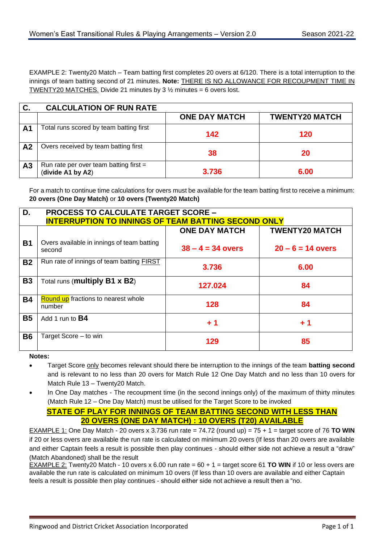EXAMPLE 2: Twenty20 Match – Team batting first completes 20 overs at 6/120. There is a total interruption to the innings of team batting second of 21 minutes. **Note:** THERE IS NO ALLOWANCE FOR RECOUPMENT TIME IN TWENTY20 MATCHES. Divide 21 minutes by 3  $\frac{1}{2}$  minutes = 6 overs lost.

| C.             | <b>CALCULATION OF RUN RATE</b>                                |                      |                       |
|----------------|---------------------------------------------------------------|----------------------|-----------------------|
|                |                                                               | <b>ONE DAY MATCH</b> | <b>TWENTY20 MATCH</b> |
| A <sub>1</sub> | Total runs scored by team batting first                       | 142                  | 120                   |
| A <sub>2</sub> | Overs received by team batting first                          | 38                   | 20                    |
| A <sub>3</sub> | Run rate per over team batting first $=$<br>(divide A1 by A2) | 3.736                | 6.00                  |

For a match to continue time calculations for overs must be available for the team batting first to receive a minimum: **20 overs (One Day Match)** or **10 overs (Twenty20 Match)**

| D.        | <b>PROCESS TO CALCULATE TARGET SCORE -</b>                 |                      |                       |
|-----------|------------------------------------------------------------|----------------------|-----------------------|
|           | <b>INTERRUPTION TO INNINGS OF TEAM BATTING SECOND ONLY</b> |                      |                       |
|           |                                                            | <b>ONE DAY MATCH</b> | <b>TWENTY20 MATCH</b> |
| <b>B1</b> | Overs available in innings of team batting<br>second       | $38 - 4 = 34$ overs  | $20 - 6 = 14$ overs   |
| <b>B2</b> | Run rate of innings of team batting <b>FIRST</b>           | 3.736                | 6.00                  |
| <b>B3</b> | Total runs (multiply B1 x B2)                              | 127.024              | 84                    |
| <b>B4</b> | <b>Round up</b> fractions to nearest whole<br>number       | 128                  | 84                    |
| <b>B5</b> | Add 1 run to <b>B4</b>                                     | $+1$                 | $+1$                  |
| <b>B6</b> | Target Score - to win                                      | 129                  | 85                    |

**Notes:** 

- Target Score only becomes relevant should there be interruption to the innings of the team **batting second** and is relevant to no less than 20 overs for Match Rule 12 One Day Match and no less than 10 overs for Match Rule 13 – Twenty20 Match.
- In One Day matches The recoupment time (in the second innings only) of the maximum of thirty minutes (Match Rule 12 – One Day Match) must be utilised for the Target Score to be invoked

#### **STATE OF PLAY FOR INNINGS OF TEAM BATTING SECOND WITH LESS THAN 20 OVERS (ONE DAY MATCH) : 10 OVERS (T20) AVAILABLE**

EXAMPLE 1: One Day Match - 20 overs x 3.736 run rate = 74.72 (round up) = 75 + 1 = target score of 76 **TO WIN** if 20 or less overs are available the run rate is calculated on minimum 20 overs (If less than 20 overs are available and either Captain feels a result is possible then play continues - should either side not achieve a result a "draw" (Match Abandoned) shall be the result

EXAMPLE 2: Twenty20 Match - 10 overs x 6.00 run rate =  $60 + 1$  = target score 61 **TO WIN** if 10 or less overs are available the run rate is calculated on minimum 10 overs (If less than 10 overs are available and either Captain feels a result is possible then play continues - should either side not achieve a result then a "no.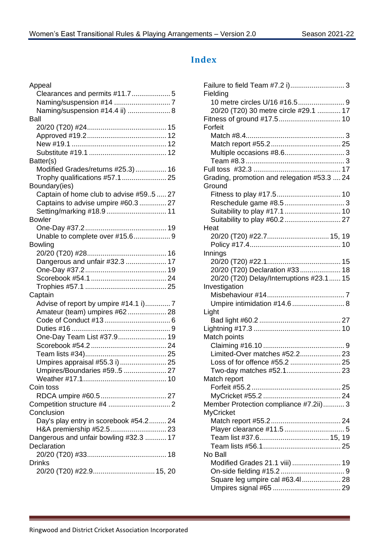# <span id="page-35-0"></span>**Index**

| Appeal                                  |
|-----------------------------------------|
|                                         |
|                                         |
| Naming/suspension #14.4 ii)  8          |
| Ball                                    |
|                                         |
|                                         |
|                                         |
|                                         |
| Batter(s)                               |
| Modified Grades/returns #25.3) 16       |
| Trophy qualifications #57.1  25         |
| Boundary(ies)                           |
| Captain of home club to advise #595  27 |
| Captains to advise umpire #60.3  27     |
| Setting/marking #18.9  11               |
| <b>Bowler</b>                           |
|                                         |
| Unable to complete over #15.6 9         |
| <b>Bowling</b>                          |
|                                         |
| Dangerous and unfair #32.3  17          |
|                                         |
|                                         |
| Captain                                 |
| Advise of report by umpire #14.1 i)7    |
| Amateur (team) umpires #62 28           |
|                                         |
|                                         |
| One-Day Team List #37.9 19              |
|                                         |
|                                         |
| Umpires appraisal #55.3 i) 25           |
| Umpires/Boundaries #595  27             |
|                                         |
| Coin toss                               |
|                                         |
|                                         |
| Conclusion                              |
| Day's play entry in scorebook #54.2 24  |
| Dangerous and unfair bowling #32.3  17  |
| Declaration                             |
|                                         |
| <b>Drinks</b>                           |
| 20/20 (T20) #22.9 15, 20                |
|                                         |

| Fielding                                    |  |
|---------------------------------------------|--|
|                                             |  |
| 20/20 (T20) 30 metre circle #29.1  17       |  |
|                                             |  |
| Forfeit                                     |  |
|                                             |  |
|                                             |  |
|                                             |  |
|                                             |  |
|                                             |  |
| Grading, promotion and relegation #53.3  24 |  |
| Ground                                      |  |
|                                             |  |
|                                             |  |
|                                             |  |
|                                             |  |
| Heat                                        |  |
| 20/20 (T20) #22.7 15, 19                    |  |
|                                             |  |
| Innings                                     |  |
|                                             |  |
| 20/20 (T20) Declaration #33 18              |  |
| 20/20 (T20) Delay/Interruptions #23.1  15   |  |
| Investigation                               |  |
|                                             |  |
| Umpire intimidation #14.6  8                |  |
|                                             |  |
| Light                                       |  |
|                                             |  |
|                                             |  |
| Match points                                |  |
| Limited-Over matches #52.2 23               |  |
|                                             |  |
|                                             |  |
| Two-day matches #52.1 23                    |  |
| Match report                                |  |
|                                             |  |
|                                             |  |
| Member Protection compliance #7.2ii) 3      |  |
| <b>MyCricket</b>                            |  |
|                                             |  |
|                                             |  |
|                                             |  |
|                                             |  |
| No Ball                                     |  |
| Modified Grades 21.1 viii)  19              |  |
|                                             |  |
| Square leg umpire cal #63.41 28             |  |
|                                             |  |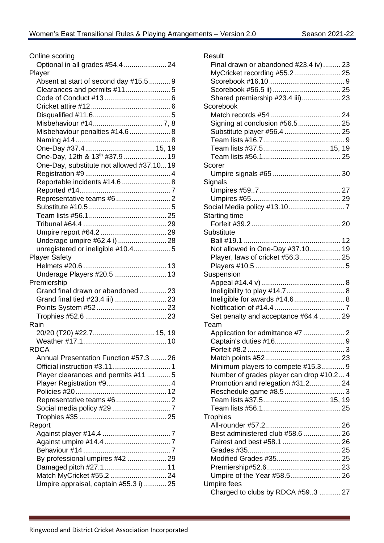| Online scoring                             |
|--------------------------------------------|
| Optional in all grades #54.4  24           |
| Player                                     |
| Absent at start of second day #15.5  9     |
|                                            |
|                                            |
|                                            |
|                                            |
|                                            |
| Misbehaviour penalties #14.6  8            |
|                                            |
|                                            |
| One-Day, 12th & 13 <sup>th</sup> #37.9  19 |
| One-Day, substitute not allowed #37.10 19  |
|                                            |
| Reportable incidents #14.6  8              |
|                                            |
|                                            |
|                                            |
|                                            |
|                                            |
|                                            |
| Underage umpire #62.4 i)  28               |
| unregistered or ineligible #10.4 5         |
| <b>Player Safety</b>                       |
|                                            |
| Underage Players #20.5  13                 |
| Premiership                                |
| Grand final drawn or abandoned 23          |
| Grand final tied #23.4 iii)  23            |
|                                            |
|                                            |
| Rain                                       |
| 20/20 (T20) #22.7 15, 19                   |
|                                            |
| <b>RDCA</b>                                |
| Annual Presentation Function #57.3  26     |
|                                            |
| Player clearances and permits #11  5       |
|                                            |
|                                            |
|                                            |
|                                            |
|                                            |
| Report                                     |
|                                            |
|                                            |
|                                            |
| By professional umpires #42  29            |
|                                            |
|                                            |
| Umpire appraisal, captain #55.3 i) 25      |
|                                            |

| Result                                   |  |
|------------------------------------------|--|
| Final drawn or abandoned #23.4 iv) 23    |  |
| MyCricket recording #55.2 25             |  |
|                                          |  |
|                                          |  |
| Shared premiership #23.4 iii) 23         |  |
| Scorebook                                |  |
|                                          |  |
| Signing at conclusion #56.5 25           |  |
| Substitute player #56.4  25              |  |
|                                          |  |
|                                          |  |
| Team lists #37.5 15, 19                  |  |
|                                          |  |
| Scorer                                   |  |
|                                          |  |
| Signals                                  |  |
|                                          |  |
|                                          |  |
|                                          |  |
| <b>Starting time</b>                     |  |
|                                          |  |
| Substitute                               |  |
|                                          |  |
| Not allowed in One-Day #37.10 19         |  |
| Player, laws of cricket #56.3 25         |  |
|                                          |  |
| Suspension                               |  |
|                                          |  |
|                                          |  |
|                                          |  |
| Ineligibility to play #14.7 8            |  |
| Ineligible for awards #14.6 8            |  |
|                                          |  |
| Set penalty and acceptance #64.4  29     |  |
| Team                                     |  |
|                                          |  |
|                                          |  |
|                                          |  |
|                                          |  |
| Minimum players to compete #15.3 9       |  |
| Number of grades player can drop #10.2 4 |  |
| Promotion and relegation #31.2 24        |  |
|                                          |  |
|                                          |  |
|                                          |  |
| <b>Trophies</b>                          |  |
|                                          |  |
| Best administered club #58.6  26         |  |
|                                          |  |
|                                          |  |
| Modified Grades #35 25                   |  |
|                                          |  |
| Umpire of the Year #58.5 26              |  |
| <b>Umpire fees</b>                       |  |